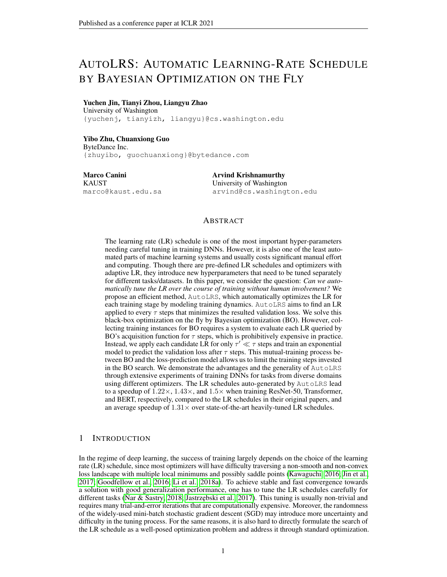# AUTOLRS: AUTOMATIC LEARNING-RATE SCHEDULE BY BAYESIAN OPTIMIZATION ON THE FLY

### Yuchen Jin, Tianyi Zhou, Liangyu Zhao

University of Washington {yuchenj, tianyizh, liangyu}@cs.washington.edu

### Yibo Zhu, Chuanxiong Guo

ByteDance Inc. {zhuyibo, guochuanxiong}@bytedance.com

Marco Canini **KAUST** marco@kaust.edu.sa

Arvind Krishnamurthy University of Washington arvind@cs.washington.edu

# ABSTRACT

The learning rate (LR) schedule is one of the most important hyper-parameters needing careful tuning in training DNNs. However, it is also one of the least automated parts of machine learning systems and usually costs significant manual effort and computing. Though there are pre-defined LR schedules and optimizers with adaptive LR, they introduce new hyperparameters that need to be tuned separately for different tasks/datasets. In this paper, we consider the question: *Can we automatically tune the LR over the course of training without human involvement?* We propose an efficient method, AutoLRS, which automatically optimizes the LR for each training stage by modeling training dynamics. AutoLRS aims to find an LR applied to every  $\tau$  steps that minimizes the resulted validation loss. We solve this black-box optimization on the fly by Bayesian optimization (BO). However, collecting training instances for BO requires a system to evaluate each LR queried by BO's acquisition function for  $\tau$  steps, which is prohibitively expensive in practice. Instead, we apply each candidate LR for only  $\tau' \ll \tau$  steps and train an exponential model to predict the validation loss after  $\tau$  steps. This mutual-training process between BO and the loss-prediction model allows us to limit the training steps invested in the BO search. We demonstrate the advantages and the generality of AutoLRS through extensive experiments of training DNNs for tasks from diverse domains using different optimizers. The LR schedules auto-generated by AutoLRS lead to a speedup of  $1.22 \times$ ,  $1.43 \times$ , and  $1.5 \times$  when training ResNet-50, Transformer, and BERT, respectively, compared to the LR schedules in their original papers, and an average speedup of  $1.31 \times$  over state-of-the-art heavily-tuned LR schedules.

# 1 INTRODUCTION

In the regime of deep learning, the success of training largely depends on the choice of the learning rate (LR) schedule, since most optimizers will have difficulty traversing a non-smooth and non-convex loss landscape with multiple local minimums and possibly saddle points [\(Kawaguchi, 2016;](#page-10-0) [Jin et al.,](#page-10-1) [2017;](#page-10-1) [Goodfellow et al., 2016;](#page-9-0) [Li et al., 2018a\)](#page-10-2). To achieve stable and fast convergence towards a solution with good generalization performance, one has to tune the LR schedules carefully for different tasks [\(Nar & Sastry, 2018;](#page-11-0) Jastrzebski et al., 2017). This tuning is usually non-trivial and requires many trial-and-error iterations that are computationally expensive. Moreover, the randomness of the widely-used mini-batch stochastic gradient descent (SGD) may introduce more uncertainty and difficulty in the tuning process. For the same reasons, it is also hard to directly formulate the search of the LR schedule as a well-posed optimization problem and address it through standard optimization.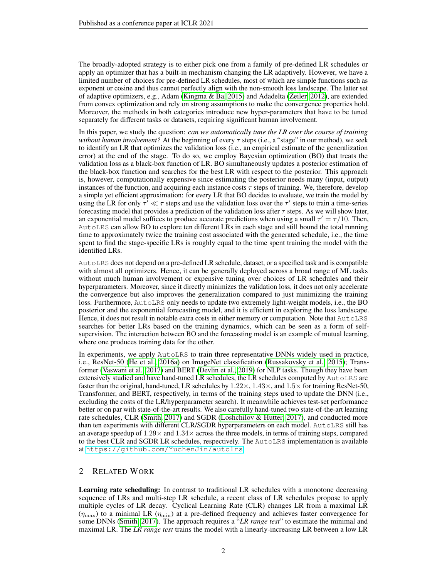The broadly-adopted strategy is to either pick one from a family of pre-defined LR schedules or apply an optimizer that has a built-in mechanism changing the LR adaptively. However, we have a limited number of choices for pre-defined LR schedules, most of which are simple functions such as exponent or cosine and thus cannot perfectly align with the non-smooth loss landscape. The latter set of adaptive optimizers, e.g., Adam [\(Kingma & Ba, 2015\)](#page-10-4) and Adadelta [\(Zeiler, 2012\)](#page-12-0), are extended from convex optimization and rely on strong assumptions to make the convergence properties hold. Moreover, the methods in both categories introduce new hyper-parameters that have to be tuned separately for different tasks or datasets, requiring significant human involvement.

In this paper, we study the question: *can we automatically tune the LR over the course of training without human involvement?* At the beginning of every  $\tau$  steps (i.e., a "stage" in our method), we seek to identify an LR that optimizes the validation loss (i.e., an empirical estimate of the generalization error) at the end of the stage. To do so, we employ Bayesian optimization (BO) that treats the validation loss as a black-box function of LR. BO simultaneously updates a posterior estimation of the black-box function and searches for the best LR with respect to the posterior. This approach is, however, computationally expensive since estimating the posterior needs many (input, output) instances of the function, and acquiring each instance costs  $\tau$  steps of training. We, therefore, develop a simple yet efficient approximation: for every LR that BO decides to evaluate, we train the model by using the LR for only  $\tau' \ll \tau$  steps and use the validation loss over the  $\tau'$  steps to train a time-series forecasting model that provides a prediction of the validation loss after  $\tau$  steps. As we will show later, an exponential model suffices to produce accurate predictions when using a small  $\tau' = \tau/10$ . Then, AutoLRS can allow BO to explore ten different LRs in each stage and still bound the total running time to approximately twice the training cost associated with the generated schedule, i.e., the time spent to find the stage-specific LRs is roughly equal to the time spent training the model with the identified LRs.

AutoLRS does not depend on a pre-defined LR schedule, dataset, or a specified task and is compatible with almost all optimizers. Hence, it can be generally deployed across a broad range of ML tasks without much human involvement or expensive tuning over choices of LR schedules and their hyperparameters. Moreover, since it directly minimizes the validation loss, it does not only accelerate the convergence but also improves the generalization compared to just minimizing the training loss. Furthermore, AutoLRS only needs to update two extremely light-weight models, i.e., the BO posterior and the exponential forecasting model, and it is efficient in exploring the loss landscape. Hence, it does not result in notable extra costs in either memory or computation. Note that AutoLRS searches for better LRs based on the training dynamics, which can be seen as a form of selfsupervision. The interaction between BO and the forecasting model is an example of mutual learning, where one produces training data for the other.

In experiments, we apply AutoLRS to train three representative DNNs widely used in practice, i.e., ResNet-50 [\(He et al., 2016a\)](#page-10-5) on ImageNet classification [\(Russakovsky et al., 2015\)](#page-11-1); Transformer [\(Vaswani et al., 2017\)](#page-11-2) and BERT [\(Devlin et al., 2019\)](#page-9-1) for NLP tasks. Though they have been extensively studied and have hand-tuned LR schedules, the LR schedules computed by AutoLRS are faster than the original, hand-tuned, LR schedules by  $1.22\times$ ,  $1.43\times$ , and  $1.5\times$  for training ResNet-50, Transformer, and BERT, respectively, in terms of the training steps used to update the DNN (i.e., excluding the costs of the LR/hyperparameter search). It meanwhile achieves test-set performance better or on par with state-of-the-art results. We also carefully hand-tuned two state-of-the-art learning rate schedules, CLR [\(Smith, 2017\)](#page-11-3) and SGDR [\(Loshchilov & Hutter, 2017\)](#page-10-6), and conducted more than ten experiments with different CLR/SGDR hyperparameters on each model. AutoLRS still has an average speedup of  $1.29 \times$  and  $1.34 \times$  across the three models, in terms of training steps, compared to the best CLR and SGDR LR schedules, respectively. The AutoLRS implementation is available at <https://github.com/YuchenJin/autolrs>.

# <span id="page-1-0"></span>2 RELATED WORK

Learning rate scheduling: In contrast to traditional LR schedules with a monotone decreasing sequence of LRs and multi-step LR schedule, a recent class of LR schedules propose to apply multiple cycles of LR decay. Cyclical Learning Rate (CLR) changes LR from a maximal LR  $(\eta_{\text{max}})$  to a minimal LR  $(\eta_{\text{min}})$  at a pre-defined frequency and achieves faster convergence for some DNNs [\(Smith, 2017\)](#page-11-3). The approach requires a "*LR range test*" to estimate the minimal and maximal LR. The *LR range test* trains the model with a linearly-increasing LR between a low LR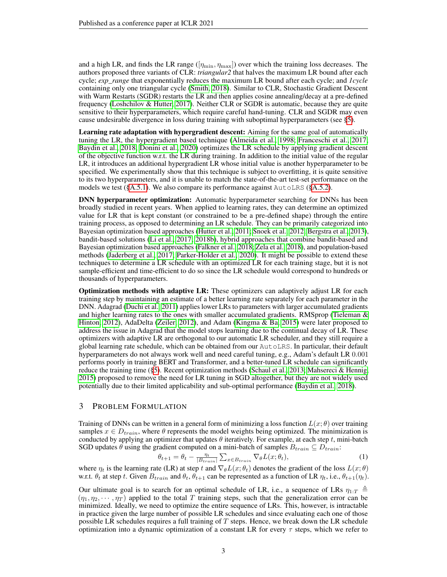and a high LR, and finds the LR range ( $[\eta_{\min}, \eta_{\max}]$ ) over which the training loss decreases. The authors proposed three variants of CLR: *triangular2* that halves the maximum LR bound after each cycle; *exp\_range* that exponentially reduces the maximum LR bound after each cycle; and *1cycle* containing only one triangular cycle [\(Smith, 2018\)](#page-11-4). Similar to CLR, Stochastic Gradient Descent with Warm Restarts (SGDR) restarts the LR and then applies cosine annealing/decay at a pre-defined frequency [\(Loshchilov & Hutter, 2017\)](#page-10-6). Neither CLR or SGDR is automatic, because they are quite sensitive to their hyperparameters, which require careful hand-tuning. CLR and SGDR may even cause undesirable divergence in loss during training with suboptimal hyperparameters (see [§5\)](#page-5-0).

Learning rate adaptation with hypergradient descent: Aiming for the same goal of automatically tuning the LR, the hypergradient based technique [\(Almeida et al., 1998;](#page-9-2) [Franceschi et al., 2017;](#page-9-3) [Baydin et al., 2018;](#page-9-4) [Donini et al., 2020\)](#page-9-5) optimizes the LR schedule by applying gradient descent of the objective function w.r.t. the LR during training. In addition to the initial value of the regular LR, it introduces an additional hypergradient LR whose initial value is another hyperparameter to be specified. We experimentally show that this technique is subject to overfitting, it is quite sensitive to its two hyperparameters, and it is unable to match the state-of-the-art test-set performance on the models we test ( $§A.5.1$ ). We also compare its performance against AutoLRS ( $§A.5.2$ ).

DNN hyperparameter optimization: Automatic hyperparameter searching for DNNs has been broadly studied in recent years. When applied to learning rates, they can determine an optimized value for LR that is kept constant (or constrained to be a pre-defined shape) through the entire training process, as opposed to determining an LR schedule. They can be primarily categorized into Bayesian optimization based approaches [\(Hutter et al., 2011;](#page-10-7) [Snoek et al., 2012;](#page-11-5) [Bergstra et al., 2013\)](#page-9-6), bandit-based solutions [\(Li et al., 2017;](#page-10-8) [2018b\)](#page-10-9), hybrid approaches that combine bandit-based and Bayesian optimization based approaches [\(Falkner et al., 2018;](#page-9-7) [Zela et al., 2018\)](#page-12-1), and population-based methods [\(Jaderberg et al., 2017;](#page-10-10) [Parker-Holder et al., 2020\)](#page-11-6). It might be possible to extend these techniques to determine a LR schedule with an optimized LR for each training stage, but it is not sample-efficient and time-efficient to do so since the LR schedule would correspond to hundreds or thousands of hyperparameters.

Optimization methods with adaptive LR: These optimizers can adaptively adjust LR for each training step by maintaining an estimate of a better learning rate separately for each parameter in the DNN. Adagrad [\(Duchi et al., 2011\)](#page-9-8) applies lower LRs to parameters with larger accumulated gradients and higher learning rates to the ones with smaller accumulated gradients. RMSprop (Tieleman  $\&$ [Hinton, 2012\)](#page-11-7), AdaDelta [\(Zeiler, 2012\)](#page-12-0), and Adam [\(Kingma & Ba, 2015\)](#page-10-4) were later proposed to address the issue in Adagrad that the model stops learning due to the continual decay of LR. These optimizers with adaptive LR are orthogonal to our automatic LR scheduler, and they still require a global learning rate schedule, which can be obtained from our AutoLRS. In particular, their default hyperparameters do not always work well and need careful tuning, e.g., Adam's default LR 0.001 performs poorly in training BERT and Transformer, and a better-tuned LR schedule can significantly reduce the training time ([§5\)](#page-7-0). Recent optimization methods [\(Schaul et al., 2013;](#page-11-8) [Mahsereci & Hennig,](#page-11-9) [2015\)](#page-11-9) proposed to remove the need for LR tuning in SGD altogether, but they are not widely used potentially due to their limited applicability and sub-optimal performance [\(Baydin et al., 2018\)](#page-9-4).

# 3 PROBLEM FORMULATION

Training of DNNs can be written in a general form of minimizing a loss function  $L(x; \theta)$  over training samples  $x \in D_{train}$ , where  $\theta$  represents the model weights being optimized. The minimization is conducted by applying an optimizer that updates  $\theta$  iteratively. For example, at each step t, mini-batch SGD updates  $\theta$  using the gradient computed on a mini-batch of samples  $B_{train} \subseteq D_{train}$ :

<span id="page-2-0"></span>
$$
\theta_{t+1} = \theta_t - \frac{\eta_t}{|B_{train}|} \sum_{x \in B_{train}} \nabla_{\theta} L(x; \theta_t), \tag{1}
$$

where  $\eta_t$  is the learning rate (LR) at step t and  $\nabla_{\theta}L(x; \theta_t)$  denotes the gradient of the loss  $L(x; \theta)$ w.r.t.  $\theta_t$  at step t. Given  $B_{train}$  and  $\theta_t$ ,  $\theta_{t+1}$  can be represented as a function of LR  $\eta_t$ , i.e.,  $\theta_{t+1}(\eta_t)$ .

Our ultimate goal is to search for an optimal schedule of LR, i.e., a sequence of LRs  $\eta_{1:T} \triangleq$  $(\eta_1, \eta_2, \dots, \eta_T)$  applied to the total T training steps, such that the generalization error can be minimized. Ideally, we need to optimize the entire sequence of LRs. This, however, is intractable in practice given the large number of possible LR schedules and since evaluating each one of those possible LR schedules requires a full training of T steps. Hence, we break down the LR schedule optimization into a dynamic optimization of a constant LR for every  $\tau$  steps, which we refer to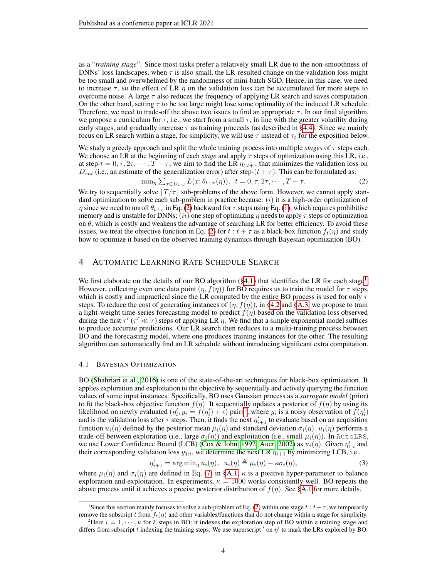as a "*training stage*". Since most tasks prefer a relatively small LR due to the non-smoothness of DNNs' loss landscapes, when  $\tau$  is also small, the LR-resulted change on the validation loss might be too small and overwhelmed by the randomness of mini-batch SGD. Hence, in this case, we need to increase  $\tau$ , so the effect of LR  $\eta$  on the validation loss can be accumulated for more steps to overcome noise. A large  $\tau$  also reduces the frequency of applying LR search and saves computation. On the other hand, setting  $\tau$  to be too large might lose some optimality of the induced LR schedule. Therefore, we need to trade-off the above two issues to find an appropriate  $\tau$ . In our final algorithm, we propose a curriculum for  $\tau$ , i.e., we start from a small  $\tau$ , in line with the greater volatility during early stages, and gradually increase  $\tau$  as training proceeds (as described in [§4.4\)](#page-5-1). Since we mainly focus on LR search within a stage, for simplicity, we will use  $\tau$  instead of  $\tau_t$  for the exposition below.

We study a greedy approach and split the whole training process into multiple *stages* of  $\tau$  steps each. We choose an LR at the beginning of each *stage* and apply τ steps of optimization using this LR, i.e., at step- $t = 0, \tau, 2\tau, \dots, T - \tau$ , we aim to find the LR  $\eta_{t:t+\tau}$  that minimizes the validation loss on  $D_{val}$  (i.e., an estimate of the generalization error) after step-(t +  $\tau$ ). This can be formulated as:

<span id="page-3-0"></span>
$$
\min_{\eta} \sum_{x \in D_{val}} L(x; \theta_{t+\tau}(\eta)), \quad t = 0, \tau, 2\tau, \cdots, T - \tau. \tag{2}
$$

We try to sequentially solve  $|T/\tau|$  sub-problems of the above form. However, we cannot apply standard optimization to solve each sub-problem in practice because:  $(i)$  it is a high-order optimization of  $\eta$  since we need to unroll  $\theta_{t+\tau}$  in Eq. [\(2\)](#page-3-0) backward for  $\tau$  steps using Eq. [\(1\)](#page-2-0), which requires prohibitive memory and is unstable for DNNs; (ii) one step of optimizing  $\eta$  needs to apply  $\tau$  steps of optimization on  $\theta$ , which is costly and weakens the advantage of searching LR for better efficiency. To avoid these issues, we treat the objective function in Eq. [\(2\)](#page-3-0) for  $t : t + \tau$  as a black-box function  $f_t(\eta)$  and study how to optimize it based on the observed training dynamics through Bayesian optimization (BO).

# 4 AUTOMATIC LEARNING RATE SCHEDULE SEARCH

We first elaborate on the details of our BO algorithm  $(\S 4.1)$  $(\S 4.1)$  $(\S 4.1)$  that identifies the LR for each stage<sup>1</sup>. However, collecting even one data point  $(\eta, f(\eta))$  for BO requires us to train the model for  $\tau$  steps, which is costly and impractical since the LR computed by the entire BO process is used for only  $\tau$ steps. To reduce the cost of generating instances of  $(\eta, f(\eta))$ , in [§4.2](#page-4-0) and [§A.3,](#page-15-0) we propose to train a light-weight time-series forecasting model to predict  $f(\eta)$  based on the validation loss observed during the first  $\tau'$  ( $\tau' \ll \tau$ ) steps of applying LR  $\eta$ . We find that a simple exponential model suffices to produce accurate predictions. Our LR search then reduces to a multi-training process between BO and the forecasting model, where one produces training instances for the other. The resulting algorithm can automatically find an LR schedule without introducing significant extra computation.

### <span id="page-3-1"></span>4.1 BAYESIAN OPTIMIZATION

BO [\(Shahriari et al., 2016\)](#page-11-10) is one of the state-of-the-art techniques for black-box optimization. It applies exploration and exploitation to the objective by sequentially and actively querying the function values of some input instances. Specifically, BO uses Gaussian process as a *surrogate model* (prior) to fit the black-box objective function  $f(\eta)$ . It sequentially updates a posterior of  $f(\eta)$  by using its likelihood on newly evaluated  $(\eta'_i, y_i = f(\eta'_i) + \epsilon)$  pairs<sup>[2](#page-3-3)</sup>, where  $y_i$  is a noisy observation of  $f(\eta'_i)$ and is the validation loss after  $\tau$  steps. Then, it finds the next  $\eta'_{i+1}$  to evaluate based on an acquisition function  $u_i(\eta)$  defined by the posterior mean  $\mu_i(\eta)$  and standard deviation  $\sigma_i(\eta)$ .  $u_i(\eta)$  performs a trade-off between exploration (i.e., large  $\sigma_i(\eta)$ ) and exploitation (i.e., small  $\mu_i(\eta)$ ). In AutoLRS, we use Lower Confidence Bound (LCB) [\(Cox & John, 1992;](#page-9-9) [Auer, 2002\)](#page-9-10) as  $u_i(\eta)$ . Given  $\eta'_{1:i}$  and their corresponding validation loss  $y_{1:i}$ , we determine the next LR  $\eta_{i+1}$  by minimizing LCB, i.e.,

<span id="page-3-4"></span>
$$
\eta'_{i+1} = \arg\min_{\eta} u_i(\eta), \ \ u_i(\eta) \triangleq \mu_i(\eta) - \kappa \sigma_i(\eta), \tag{3}
$$

where  $\mu_i(\eta)$  and  $\sigma_i(\eta)$  are defined in Eq. [\(7\)](#page-13-0) in [§A.1,](#page-13-1)  $\kappa$  is a positive hyper-parameter to balance exploration and exploitation. In experiments,  $\kappa = 1000$  works consistently well. BO repeats the above process until it achieves a precise posterior distribution of  $f(\eta)$ . See [§A.1](#page-13-1) for more details.

<span id="page-3-2"></span><sup>&</sup>lt;sup>1</sup>Since this section mainly focuses to solve a sub-problem of Eq. [\(2\)](#page-3-0) within one stage  $t : t + \tau$ , we temporarily remove the subscript t from  $f_t(\eta)$  and other variables/functions that do not change within a stage for simplicity.

<span id="page-3-3"></span><sup>&</sup>lt;sup>2</sup>Here  $i = 1, \dots, k$  for k steps in BO: it indexes the exploration step of BO within a training stage and differs from subscript t indexing the training steps. We use superscript  $'$  on  $\eta'$  to mark the LRs explored by BO.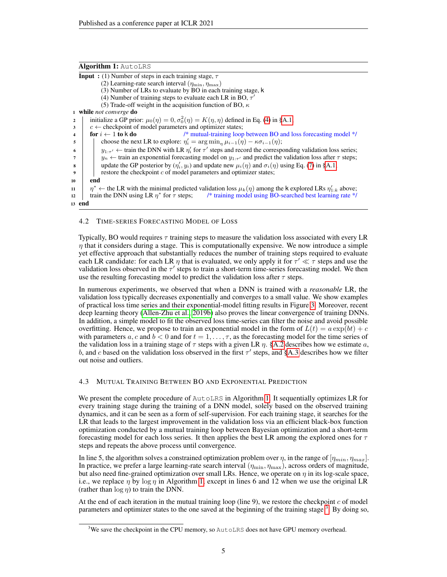| Algorithm 1: AutoLRS                                                                                                                    |  |
|-----------------------------------------------------------------------------------------------------------------------------------------|--|
| <b>Input</b> : (1) Number of steps in each training stage, $\tau$                                                                       |  |
| (2) Learning-rate search interval $(\eta_{\min}, \eta_{\max})$                                                                          |  |
| (3) Number of LRs to evaluate by BO in each training stage, k                                                                           |  |
| (4) Number of training steps to evaluate each LR in BO, $\tau'$                                                                         |  |
| (5) Trade-off weight in the acquisition function of BO, $\kappa$                                                                        |  |
| 1 while not converge do                                                                                                                 |  |
| initialize a GP prior: $\mu_0(\eta) = 0$ , $\sigma_0^2(\eta) = K(\eta, \eta)$ defined in Eq. (4) in §A.1;<br>2                          |  |
| $c \leftarrow$ checkpoint of model parameters and optimizer states;<br>3                                                                |  |
| for $i \leftarrow 1$ to k do<br>/* mutual-training loop between BO and loss forecasting model */<br>4                                   |  |
| choose the next LR to explore: $\eta'_i = \arg \min_n \mu_{i-1}(\eta) - \kappa \sigma_{i-1}(\eta);$<br>5                                |  |
| $y_{1:\tau'} \leftarrow$ train the DNN with LR $\eta'_i$ for $\tau'$ steps and record the corresponding validation loss series;<br>6    |  |
| $y_n \leftarrow$ train an exponential forecasting model on $y_{1,\tau'}$ and predict the validation loss after $\tau$ steps;<br>7       |  |
| update the GP posterior by $(\eta'_i, y_i)$ and update new $\mu_i(\eta)$ and $\sigma_i(\eta)$ using Eq. (7) in §A.1;<br>8               |  |
| restore the checkpoint c of model parameters and optimizer states;<br>9                                                                 |  |
| end<br>10                                                                                                                               |  |
| $\eta^* \leftarrow$ the LR with the minimal predicted validation loss $\mu_k(\eta)$ among the k explored LRs $\eta'_{1:k}$ above;<br>11 |  |
| train the DNN using LR $\eta^*$ for $\tau$ steps; $\eta^*$ training model using BO-searched best learning rate $*/$<br>12               |  |
| 13 end                                                                                                                                  |  |
|                                                                                                                                         |  |

### <span id="page-4-1"></span><span id="page-4-0"></span>4.2 TIME-SERIES FORECASTING MODEL OF LOSS

Typically, BO would requires  $\tau$  training steps to measure the validation loss associated with every LR  $\eta$  that it considers during a stage. This is computationally expensive. We now introduce a simple yet effective approach that substantially reduces the number of training steps required to evaluate each LR candidate: for each LR  $\eta$  that is evaluated, we only apply it for  $\tau' \ll \tau$  steps and use the validation loss observed in the  $\tau'$  steps to train a short-term time-series forecasting model. We then use the resulting forecasting model to predict the validation loss after  $\tau$  steps.

In numerous experiments, we observed that when a DNN is trained with a *reasonable* LR, the validation loss typically decreases exponentially and converges to a small value. We show examples of practical loss time series and their exponential-model fitting results in Figure [3.](#page-14-0) Moreover, recent deep learning theory [\(Allen-Zhu et al., 2019b\)](#page-9-11) also proves the linear convergence of training DNNs. In addition, a simple model to fit the observed loss time-series can filter the noise and avoid possible overfitting. Hence, we propose to train an exponential model in the form of  $L(t) = a \exp(bt) + c$ with parameters a, c and  $b < 0$  and for  $t = 1, \ldots, \tau$ , as the forecasting model for the time series of the validation loss in a training stage of  $\tau$  steps with a given LR  $\eta$ . [§A.2](#page-14-1) describes how we estimate a, b, and c based on the validation loss observed in the first  $\tau'$  steps, and [§A.3](#page-15-0) describes how we filter out noise and outliers.

### 4.3 MUTUAL TRAINING BETWEEN BO AND EXPONENTIAL PREDICTION

We present the complete procedure of AutoLRS in Algorithm [1.](#page-4-1) It sequentially optimizes LR for every training stage during the training of a DNN model, solely based on the observed training dynamics, and it can be seen as a form of self-supervision. For each training stage, it searches for the LR that leads to the largest improvement in the validation loss via an efficient black-box function optimization conducted by a mutual training loop between Bayesian optimization and a short-term forecasting model for each loss series. It then applies the best LR among the explored ones for  $\tau$ steps and repeats the above process until convergence.

In line 5, the algorithm solves a constrained optimization problem over  $\eta$ , in the range of  $[\eta_{min}, \eta_{max}]$ . In practice, we prefer a large learning-rate search interval  $(\eta_{\min}, \eta_{\max})$ , across orders of magnitude, but also need fine-grained optimization over small LRs. Hence, we operate on  $\eta$  in its log-scale space, i.e., we replace  $\eta$  by  $\log \eta$  in Algorithm [1,](#page-4-1) except in lines 6 and 12 when we use the original LR (rather than  $\log \eta$ ) to train the DNN.

At the end of each iteration in the mutual training loop (line 9), we restore the checkpoint  $c$  of model parameters and optimizer states to the one saved at the beginning of the training stage<sup>[3](#page-4-2)</sup>. By doing so,

<span id="page-4-2"></span><sup>&</sup>lt;sup>3</sup>We save the checkpoint in the CPU memory, so AutoLRS does not have GPU memory overhead.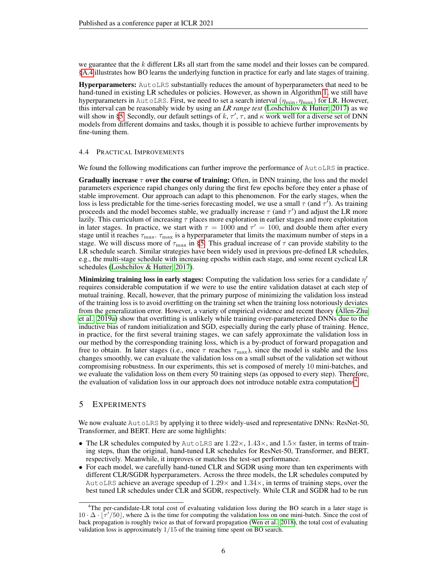we guarantee that the k different LRs all start from the same model and their losses can be compared. [§A.4](#page-15-1) illustrates how BO learns the underlying function in practice for early and late stages of training.

Hyperparameters: AutoLRS substantially reduces the amount of hyperparameters that need to be hand-tuned in existing LR schedules or policies. However, as shown in Algorithm [1,](#page-4-1) we still have hyperparameters in AutoLRS. First, we need to set a search interval  $(\eta_{\min}, \eta_{\max})$  for LR. However, this interval can be reasonably wide by using an *LR range test* [\(Loshchilov & Hutter, 2017\)](#page-10-6) as we will show in [§5.](#page-5-0) Secondly, our default settings of  $k, \tau', \tau$ , and  $\kappa$  work well for a diverse set of DNN models from different domains and tasks, though it is possible to achieve further improvements by fine-tuning them.

### <span id="page-5-1"></span>4.4 PRACTICAL IMPROVEMENTS

We found the following modifications can further improve the performance of AutoLRS in practice.

**Gradually increase**  $\tau$  over the course of training: Often, in DNN training, the loss and the model parameters experience rapid changes only during the first few epochs before they enter a phase of stable improvement. Our approach can adapt to this phenomenon. For the early stages, when the loss is less predictable for the time-series forecasting model, we use a small  $\tau$  (and  $\tau'$ ). As training proceeds and the model becomes stable, we gradually increase  $\tau$  (and  $\tau'$ ) and adjust the LR more lazily. This curriculum of increasing  $\tau$  places more exploration in earlier stages and more exploitation in later stages. In practice, we start with  $\tau = 1000$  and  $\tau' = 100$ , and double them after every stage until it reaches  $\tau_{\max}$ .  $\tau_{\max}$  is a hyperparameter that limits the maximum number of steps in a stage. We will discuss more of  $\tau_{\text{max}}$  in [§5.](#page-5-0) This gradual increase of  $\tau$  can provide stability to the LR schedule search. Similar strategies have been widely used in previous pre-defined LR schedules, e.g., the multi-stage schedule with increasing epochs within each stage, and some recent cyclical LR schedules [\(Loshchilov & Hutter, 2017\)](#page-10-6).

Minimizing training loss in early stages: Computing the validation loss series for a candidate  $\eta'$ requires considerable computation if we were to use the entire validation dataset at each step of mutual training. Recall, however, that the primary purpose of minimizing the validation loss instead of the training loss is to avoid overfitting on the training set when the training loss notoriously deviates from the generalization error. However, a variety of empirical evidence and recent theory [\(Allen-Zhu](#page-9-12) [et al., 2019a\)](#page-9-12) show that overfitting is unlikely while training over-parameterized DNNs due to the inductive bias of random initialization and SGD, especially during the early phase of training. Hence, in practice, for the first several training stages, we can safely approximate the validation loss in our method by the corresponding training loss, which is a by-product of forward propagation and free to obtain. In later stages (i.e., once  $\tau$  reaches  $\tau_{\text{max}}$ ), since the model is stable and the loss changes smoothly, we can evaluate the validation loss on a small subset of the validation set without compromising robustness. In our experiments, this set is composed of merely 10 mini-batches, and we evaluate the validation loss on them every 50 training steps (as opposed to every step). Therefore, the evaluation of validation loss in our approach does not introduce notable extra computations<sup>[4](#page-5-2)</sup>.

# <span id="page-5-0"></span>5 EXPERIMENTS

We now evaluate AutoLRS by applying it to three widely-used and representative DNNs: ResNet-50, Transformer, and BERT. Here are some highlights:

- The LR schedules computed by AutoLRS are  $1.22 \times$ ,  $1.43 \times$ , and  $1.5 \times$  faster, in terms of training steps, than the original, hand-tuned LR schedules for ResNet-50, Transformer, and BERT, respectively. Meanwhile, it improves or matches the test-set performance.
- For each model, we carefully hand-tuned CLR and SGDR using more than ten experiments with different CLR/SGDR hyperparameters. Across the three models, the LR schedules computed by AutoLRS achieve an average speedup of  $1.29\times$  and  $1.34\times$ , in terms of training steps, over the best tuned LR schedules under CLR and SGDR, respectively. While CLR and SGDR had to be run

<span id="page-5-2"></span><sup>4</sup>The per-candidate-LR total cost of evaluating validation loss during the BO search in a later stage is  $10 \cdot \Delta \cdot [\tau'/50]$ , where  $\Delta$  is the time for computing the validation loss on one mini-batch. Since the cost of back propagation is roughly twice as that of forward propagation [\(Wen et al., 2018\)](#page-11-11), the total cost of evaluating validation loss is approximately 1/15 of the training time spent on BO search.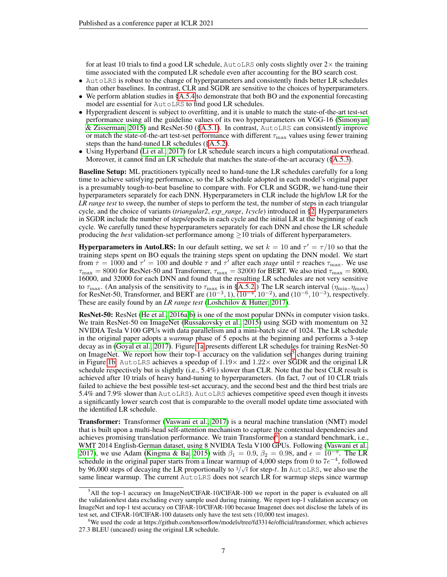for at least 10 trials to find a good LR schedule, AutoLRS only costs slightly over  $2\times$  the training time associated with the computed LR schedule even after accounting for the BO search cost.

- AutoLRS is robust to the change of hyperparameters and consistently finds better LR schedules than other baselines. In contrast, CLR and SGDR are sensitive to the choices of hyperparameters.
- We perform ablation studies in [§A.5.4](#page-18-0) to demonstrate that both BO and the exponential forecasting model are essential for AutoLRS to find good LR schedules.
- Hypergradient descent is subject to overfitting, and it is unable to match the state-of-the-art test-set performance using all the guideline values of its two hyperparameters on VGG-16 [\(Simonyan](#page-11-12) [& Zisserman, 2015\)](#page-11-12) and ResNet-50 ([§A.5.1\)](#page-16-0). In contrast, AutoLRS can consistently improve or match the state-of-the-art test-set performance with different  $\tau_{\text{max}}$  values using fewer training steps than the hand-tuned LR schedules ([§A.5.2\)](#page-17-0).
- Using Hyperband [\(Li et al., 2017\)](#page-10-8) for LR schedule search incurs a high computational overhead. Moreover, it cannot find an LR schedule that matches the state-of-the-art accuracy ([§A.5.3\)](#page-17-1).

Baseline Setup: ML practitioners typically need to hand-tune the LR schedules carefully for a long time to achieve satisfying performance, so the LR schedule adopted in each model's original paper is a presumably tough-to-beat baseline to compare with. For CLR and SGDR, we hand-tune their hyperparameters separately for each DNN. Hyperparameters in CLR include the high/low LR for the *LR range test* to sweep, the number of steps to perform the test, the number of steps in each triangular cycle, and the choice of variants (*triangular2*, *exp\_range*, *1cycle*) introduced in [§2.](#page-1-0) Hyperparameters in SGDR include the number of steps/epochs in each cycle and the initial LR at the beginning of each cycle. We carefully tuned these hyperparameters separately for each DNN and chose the LR schedule producing the *best* validation-set performance among  $\geq$  10 trials of different hyperparameters.

**Hyperparameters in AutoLRS:** In our default setting, we set  $k = 10$  and  $\tau' = \tau/10$  so that the training steps spent on BO equals the training steps spent on updating the DNN model. We start from  $\tau = 1000$  and  $\tau' = 100$  and double  $\tau$  and  $\tau'$  after each *stage* until  $\tau$  reaches  $\tau_{\text{max}}$ . We use  $\tau_{\text{max}} = 8000$  for ResNet-50 and Transformer,  $\tau_{\text{max}} = 32000$  for BERT. We also tried  $\tau_{\text{max}} = 8000$ , 16000, and 32000 for each DNN and found that the resulting LR schedules are not very sensitive to  $\tau_{\text{max}}$ . (An analysis of the sensitivity to  $\tau_{\text{max}}$  is in [§A.5.2.](#page-17-0)) The LR search interval  $(\eta_{\text{min}}, \eta_{\text{max}})$ for ResNet-50, Transformer, and BERT are  $(10^{-3}, 1)$ ,  $(10^{-4}, 10^{-2})$ , and  $(10^{-6}, 10^{-3})$ , respectively. These are easily found by an *LR range test* [\(Loshchilov & Hutter, 2017\)](#page-10-6).

ResNet-50: ResNet [\(He et al., 2016a;](#page-10-5)[b\)](#page-10-11) is one of the most popular DNNs in computer vision tasks. We train ResNet-50 on ImageNet [\(Russakovsky et al., 2015\)](#page-11-1) using SGD with momentum on 32 NVIDIA Tesla V100 GPUs with data parallelism and a mini-batch size of 1024. The LR schedule in the original paper adopts a *warmup* phase of 5 epochs at the beginning and performs a 3-step decay as in [\(Goyal et al., 2017\)](#page-10-12). Figure [1a](#page-7-0) presents different LR schedules for training ResNet-50 on ImageNet. We report how their top-1 accuracy on the validation set<sup>[5](#page-6-0)</sup> changes during training in Figure [1b.](#page-7-0) AutoLRS achieves a speedup of  $1.19\times$  and  $1.22\times$  over SGDR and the original LR schedule respectively but is slightly (i.e., 5.4%) slower than CLR. Note that the best CLR result is achieved after 10 trials of heavy hand-tuning to hyperparameters. (In fact, 7 out of 10 CLR trials failed to achieve the best possible test-set accuracy, and the second best and the third best trials are 5.4% and 7.9% slower than AutoLRS). AutoLRS achieves competitive speed even though it invests a significantly lower search cost that is comparable to the overall model update time associated with the identified LR schedule.

Transformer: Transformer [\(Vaswani et al., 2017\)](#page-11-2) is a neural machine translation (NMT) model that is built upon a multi-head self-attention mechanism to capture the contextual dependencies and achieves promising translation performance. We train Transformer<sup>[6](#page-6-1)</sup> on a standard benchmark, i.e., WMT 2014 English-German dataset, using 8 NVIDIA Tesla V100 GPUs. Following [\(Vaswani et al.,](#page-11-2) [2017\)](#page-11-2), we use Adam [\(Kingma & Ba, 2015\)](#page-10-4) with  $\beta_1 = 0.9$ ,  $\beta_2 = 0.98$ , and  $\epsilon = 10^{-9}$ . The LR schedule in the original paper starts from a linear warmup of 4,000 steps from 0 to  $7e^{-4}$ , followed by 96,000 steps of decaying the LR proportionally to  $1/\sqrt{t}$  for step-t. In AutoLRS, we also use the same linear warmup. The current AutoLRS does not search LR for warmup steps since warmup

<span id="page-6-0"></span><sup>5</sup>All the top-1 accuracy on ImageNet/CIFAR-10/CIFAR-100 we report in the paper is evaluated on all the validation/test data excluding every sample used during training. We report top-1 validation accuracy on ImageNet and top-1 test accuracy on CIFAR-10/CIFAR-100 becasue Imagenet does not disclose the labels of its test set, and CIFAR-10/CIFAR-100 datasets only have the test sets (10,000 test images).

<span id="page-6-1"></span><sup>6</sup>We used the code at https://github.com/tensorflow/models/tree/fd3314e/official/transformer, which achieves 27.3 BLEU (uncased) using the original LR schedule.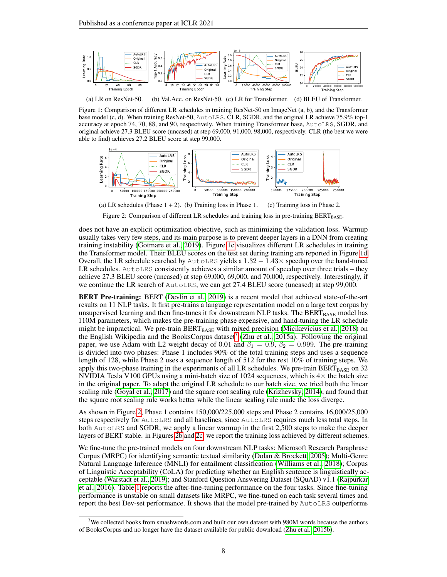<span id="page-7-0"></span>

(a) LR on ResNet-50. (b) Val.Acc. on ResNet-50. (c) LR for Transformer. (d) BLEU of Transformer.

Figure 1: Comparison of different LR schedules in training ResNet-50 on ImageNet (a, b), and the Transformer base model (c, d). When training ResNet-50, AutoLRS, CLR, SGDR, and the original LR achieve 75.9% top-1 accuracy at epoch 74, 70, 88, and 90, respectively. When training Transformer base, AutoLRS, SGDR, and original achieve 27.3 BLEU score (uncased) at step 69,000, 91,000, 98,000, respectively. CLR (the best we were able to find) achieves 27.2 BLEU score at step 99,000.

<span id="page-7-2"></span>

Figure 2: Comparison of different LR schedules and training loss in pre-training BERTBASE.

does not have an explicit optimization objective, such as minimizing the validation loss. Warmup usually takes very few steps, and its main purpose is to prevent deeper layers in a DNN from creating training instability [\(Gotmare et al., 2019\)](#page-10-13). Figure [1c](#page-7-0) visualizes different LR schedules in training the Transformer model. Their BLEU scores on the test set during training are reported in Figure [1d.](#page-7-0) Overall, the LR schedule searched by AutoLRS yields a  $1.32 - 1.43 \times$  speedup over the hand-tuned LR schedules. AutoLRS consistently achieves a similar amount of speedup over three trials – they achieve 27.3 BLEU score (uncased) at step 69,000, 69,000, and 70,000, respectively. Interestingly, if we continue the LR search of AutoLRS, we can get 27.4 BLEU score (uncased) at step 99,000.

BERT Pre-training: BERT [\(Devlin et al., 2019\)](#page-9-1) is a recent model that achieved state-of-the-art results on 11 NLP tasks. It first pre-trains a language representation model on a large text corpus by unsupervised learning and then fine-tunes it for downstream NLP tasks. The  $BERT_{BASE}$  model has 110M parameters, which makes the pre-training phase expensive, and hand-tuning the LR schedule might be impractical. We pre-train  $BERT_{BASE}$  with mixed precision [\(Micikevicius et al., 2018\)](#page-11-13) on the English Wikipedia and the BooksCorpus dataset<sup>[7](#page-7-1)</sup> [\(Zhu et al., 2015a\)](#page-12-2). Following the original paper, we use Adam with L2 weight decay of 0.01 and  $\beta_1 = 0.9$ ,  $\beta_2 = 0.999$ . The pre-training is divided into two phases: Phase 1 includes 90% of the total training steps and uses a sequence length of 128, while Phase 2 uses a sequence length of 512 for the rest 10% of training steps. We apply this two-phase training in the experiments of all LR schedules. We pre-train  $BERT_{BASE}$  on 32 NVIDIA Tesla V100 GPUs using a mini-batch size of 1024 sequences, which is  $4\times$  the batch size in the original paper. To adapt the original LR schedule to our batch size, we tried both the linear scaling rule [\(Goyal et al., 2017\)](#page-10-12) and the square root scaling rule [\(Krizhevsky, 2014\)](#page-10-14), and found that the square root scaling rule works better while the linear scaling rule made the loss diverge.

As shown in Figure [2,](#page-7-2) Phase 1 contains 150,000/225,000 steps and Phase 2 contains 16,000/25,000 steps respectively for AutoLRS and all baselines, since AutoLRS requires much less total steps. In both AutoLRS and SGDR, we apply a linear warmup in the first 2,500 steps to make the deeper layers of BERT stable. in Figures [2b](#page-7-2) and [2c,](#page-7-2) we report the training loss achieved by different schemes.

We fine-tune the pre-trained models on four downstream NLP tasks: Microsoft Research Paraphrase Corpus (MRPC) for identifying semantic textual similarity [\(Dolan & Brockett, 2005\)](#page-9-13); Multi-Genre Natural Language Inference (MNLI) for entailment classification [\(Williams et al., 2018\)](#page-12-3); Corpus of Linguistic Acceptability (CoLA) for predicting whether an English sentence is linguistically acceptable [\(Warstadt et al., 2019\)](#page-11-14); and Stanford Question Answering Dataset (SQuAD) v1.1 [\(Rajpurkar](#page-11-15) [et al., 2016\)](#page-11-15). Table [1](#page-8-0) reports the after-fine-tuning performance on the four tasks. Since fine-tuning performance is unstable on small datasets like MRPC, we fine-tuned on each task several times and report the best Dev-set performance. It shows that the model pre-trained by AutoLRS outperforms

<span id="page-7-1"></span> $7$ We collected books from smashwords.com and built our own dataset with 980M words because the authors of BooksCorpus and no longer have the dataset available for public download [\(Zhu et al., 2015b\)](#page-12-4).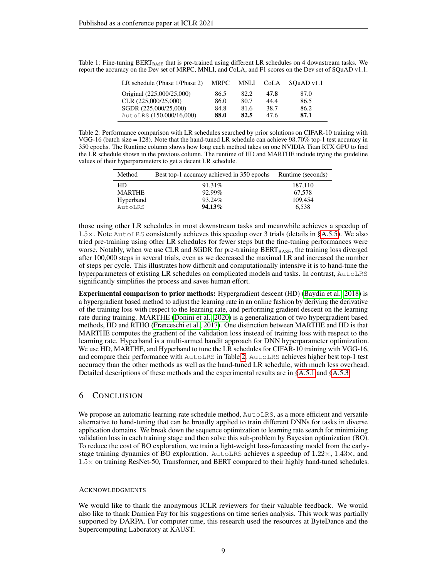| LR schedule (Phase 1/Phase 2) | <b>MRPC</b> | MNLI | CoLA | $SQuAD$ v1.1 |
|-------------------------------|-------------|------|------|--------------|
| Original (225,000/25,000)     | 86.5        | 82.2 | 47.8 | 87.0         |
| CLR (225,000/25,000)          | 86.0        | 80.7 | 44.4 | 86.5         |
| SGDR (225,000/25,000)         | 84.8        | 81.6 | 38.7 | 86.2         |
| AutoLRS (150,000/16,000)      | 88.0        | 82.5 | 47.6 | 87.1         |

<span id="page-8-0"></span>Table 1: Fine-tuning BERTBASE that is pre-trained using different LR schedules on 4 downstream tasks. We report the accuracy on the Dev set of MRPC, MNLI, and CoLA, and F1 scores on the Dev set of SQuAD v1.1.

<span id="page-8-1"></span>Table 2: Performance comparison with LR schedules searched by prior solutions on CIFAR-10 training with VGG-16 (batch size = 128). Note that the hand-tuned LR schedule can achieve 93.70% top-1 test accuracy in 350 epochs. The Runtime column shows how long each method takes on one NVIDIA Titan RTX GPU to find the LR schedule shown in the previous column. The runtime of HD and MARTHE include trying the guideline values of their hyperparameters to get a decent LR schedule.

| Method        | Best top-1 accuracy achieved in 350 epochs Runtime (seconds) |         |
|---------------|--------------------------------------------------------------|---------|
| HD.           | 91.31\%                                                      | 187.110 |
| <b>MARTHE</b> | 92.99%                                                       | 67.578  |
| Hyperband     | 93.24%                                                       | 109,454 |
| AutoLRS       | $94.13\%$                                                    | 6.538   |

those using other LR schedules in most downstream tasks and meanwhile achieves a speedup of  $1.5\times$ . Note AutoLRS consistently achieves this speedup over 3 trials (details in [§A.5.5\)](#page-18-1). We also tried pre-training using other LR schedules for fewer steps but the fine-tuning performances were worse. Notably, when we use CLR and SGDR for pre-training  $BERT_{BASE}$ , the training loss diverged after 100,000 steps in several trials, even as we decreased the maximal LR and increased the number of steps per cycle. This illustrates how difficult and computationally intensive it is to hand-tune the hyperparameters of existing LR schedules on complicated models and tasks. In contrast, AutoLRS significantly simplifies the process and saves human effort.

Experimental comparison to prior methods: Hypergradient descent (HD) [\(Baydin et al., 2018\)](#page-9-4) is a hypergradient based method to adjust the learning rate in an online fashion by deriving the derivative of the training loss with respect to the learning rate, and performing gradient descent on the learning rate during training. MARTHE [\(Donini et al., 2020\)](#page-9-5) is a generalization of two hypergradient based methods, HD and RTHO [\(Franceschi et al., 2017\)](#page-9-3). One distinction between MARTHE and HD is that MARTHE computes the gradient of the validation loss instead of training loss with respect to the learning rate. Hyperband is a multi-armed bandit approach for DNN hyperparameter optimization. We use HD, MARTHE, and Hyperband to tune the LR schedules for CIFAR-10 training with VGG-16, and compare their performance with AutoLRS in Table [2.](#page-8-1) AutoLRS achieves higher best top-1 test accuracy than the other methods as well as the hand-tuned LR schedule, with much less overhead. Detailed descriptions of these methods and the experimental results are in [§A.5.1](#page-16-0) and [§A.5.3.](#page-17-1)

# 6 CONCLUSION

We propose an automatic learning-rate schedule method,  $AutOLRS$ , as a more efficient and versatile alternative to hand-tuning that can be broadly applied to train different DNNs for tasks in diverse application domains. We break down the sequence optimization to learning rate search for minimizing validation loss in each training stage and then solve this sub-problem by Bayesian optimization (BO). To reduce the cost of BO exploration, we train a light-weight loss-forecasting model from the earlystage training dynamics of BO exploration. AutoLRS achieves a speedup of  $1.22 \times$ ,  $1.43 \times$ , and 1.5× on training ResNet-50, Transformer, and BERT compared to their highly hand-tuned schedules.

#### ACKNOWLEDGMENTS

We would like to thank the anonymous ICLR reviewers for their valuable feedback. We would also like to thank Damien Fay for his suggestions on time series analysis. This work was partially supported by DARPA. For computer time, this research used the resources at ByteDance and the Supercomputing Laboratory at KAUST.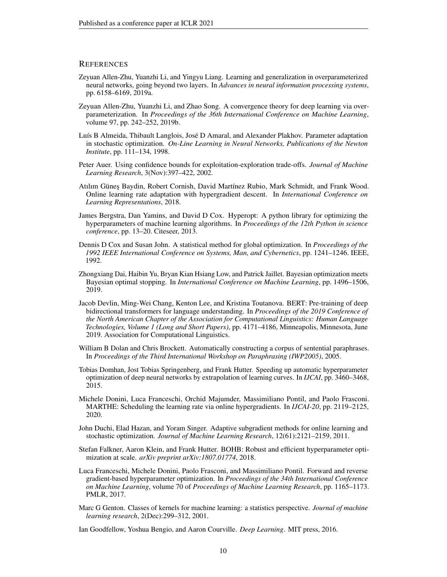### **REFERENCES**

- <span id="page-9-12"></span>Zeyuan Allen-Zhu, Yuanzhi Li, and Yingyu Liang. Learning and generalization in overparameterized neural networks, going beyond two layers. In *Advances in neural information processing systems*, pp. 6158–6169, 2019a.
- <span id="page-9-11"></span>Zeyuan Allen-Zhu, Yuanzhi Li, and Zhao Song. A convergence theory for deep learning via overparameterization. In *Proceedings of the 36th International Conference on Machine Learning*, volume 97, pp. 242–252, 2019b.
- <span id="page-9-2"></span>Luís B Almeida, Thibault Langlois, José D Amaral, and Alexander Plakhov. Parameter adaptation in stochastic optimization. *On-Line Learning in Neural Networks, Publications of the Newton Institute*, pp. 111–134, 1998.
- <span id="page-9-10"></span>Peter Auer. Using confidence bounds for exploitation-exploration trade-offs. *Journal of Machine Learning Research*, 3(Nov):397–422, 2002.
- <span id="page-9-4"></span>Atılım Günes Baydin, Robert Cornish, David Martínez Rubio, Mark Schmidt, and Frank Wood. Online learning rate adaptation with hypergradient descent. In *International Conference on Learning Representations*, 2018.
- <span id="page-9-6"></span>James Bergstra, Dan Yamins, and David D Cox. Hyperopt: A python library for optimizing the hyperparameters of machine learning algorithms. In *Proceedings of the 12th Python in science conference*, pp. 13–20. Citeseer, 2013.
- <span id="page-9-9"></span>Dennis D Cox and Susan John. A statistical method for global optimization. In *Proceedings of the 1992 IEEE International Conference on Systems, Man, and Cybernetics*, pp. 1241–1246. IEEE, 1992.
- <span id="page-9-16"></span>Zhongxiang Dai, Haibin Yu, Bryan Kian Hsiang Low, and Patrick Jaillet. Bayesian optimization meets Bayesian optimal stopping. In *International Conference on Machine Learning*, pp. 1496–1506, 2019.
- <span id="page-9-1"></span>Jacob Devlin, Ming-Wei Chang, Kenton Lee, and Kristina Toutanova. BERT: Pre-training of deep bidirectional transformers for language understanding. In *Proceedings of the 2019 Conference of the North American Chapter of the Association for Computational Linguistics: Human Language Technologies, Volume 1 (Long and Short Papers)*, pp. 4171–4186, Minneapolis, Minnesota, June 2019. Association for Computational Linguistics.
- <span id="page-9-13"></span>William B Dolan and Chris Brockett. Automatically constructing a corpus of sentential paraphrases. In *Proceedings of the Third International Workshop on Paraphrasing (IWP2005)*, 2005.
- <span id="page-9-15"></span>Tobias Domhan, Jost Tobias Springenberg, and Frank Hutter. Speeding up automatic hyperparameter optimization of deep neural networks by extrapolation of learning curves. In *IJCAI*, pp. 3460–3468, 2015.
- <span id="page-9-5"></span>Michele Donini, Luca Franceschi, Orchid Majumder, Massimiliano Pontil, and Paolo Frasconi. MARTHE: Scheduling the learning rate via online hypergradients. In *IJCAI-20*, pp. 2119–2125, 2020.
- <span id="page-9-8"></span>John Duchi, Elad Hazan, and Yoram Singer. Adaptive subgradient methods for online learning and stochastic optimization. *Journal of Machine Learning Research*, 12(61):2121–2159, 2011.
- <span id="page-9-7"></span>Stefan Falkner, Aaron Klein, and Frank Hutter. BOHB: Robust and efficient hyperparameter optimization at scale. *arXiv preprint arXiv:1807.01774*, 2018.
- <span id="page-9-3"></span>Luca Franceschi, Michele Donini, Paolo Frasconi, and Massimiliano Pontil. Forward and reverse gradient-based hyperparameter optimization. In *Proceedings of the 34th International Conference on Machine Learning*, volume 70 of *Proceedings of Machine Learning Research*, pp. 1165–1173. PMLR, 2017.
- <span id="page-9-14"></span>Marc G Genton. Classes of kernels for machine learning: a statistics perspective. *Journal of machine learning research*, 2(Dec):299–312, 2001.

<span id="page-9-0"></span>Ian Goodfellow, Yoshua Bengio, and Aaron Courville. *Deep Learning*. MIT press, 2016.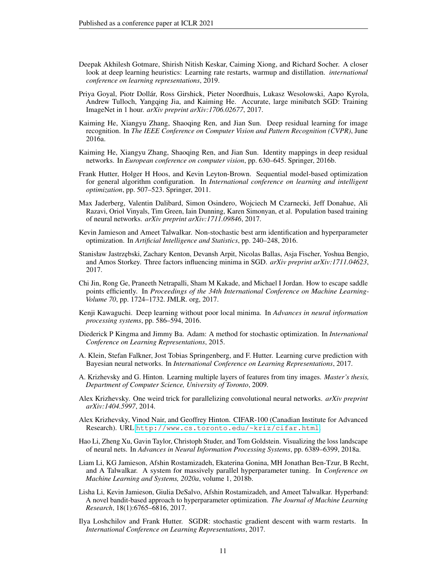- <span id="page-10-13"></span>Deepak Akhilesh Gotmare, Shirish Nitish Keskar, Caiming Xiong, and Richard Socher. A closer look at deep learning heuristics: Learning rate restarts, warmup and distillation. *international conference on learning representations*, 2019.
- <span id="page-10-12"></span>Priya Goyal, Piotr Dollár, Ross Girshick, Pieter Noordhuis, Lukasz Wesolowski, Aapo Kyrola, Andrew Tulloch, Yangqing Jia, and Kaiming He. Accurate, large minibatch SGD: Training ImageNet in 1 hour. *arXiv preprint arXiv:1706.02677*, 2017.
- <span id="page-10-5"></span>Kaiming He, Xiangyu Zhang, Shaoqing Ren, and Jian Sun. Deep residual learning for image recognition. In *The IEEE Conference on Computer Vision and Pattern Recognition (CVPR)*, June 2016a.
- <span id="page-10-11"></span>Kaiming He, Xiangyu Zhang, Shaoqing Ren, and Jian Sun. Identity mappings in deep residual networks. In *European conference on computer vision*, pp. 630–645. Springer, 2016b.
- <span id="page-10-7"></span>Frank Hutter, Holger H Hoos, and Kevin Leyton-Brown. Sequential model-based optimization for general algorithm configuration. In *International conference on learning and intelligent optimization*, pp. 507–523. Springer, 2011.
- <span id="page-10-10"></span>Max Jaderberg, Valentin Dalibard, Simon Osindero, Wojciech M Czarnecki, Jeff Donahue, Ali Razavi, Oriol Vinyals, Tim Green, Iain Dunning, Karen Simonyan, et al. Population based training of neural networks. *arXiv preprint arXiv:1711.09846*, 2017.
- <span id="page-10-18"></span>Kevin Jamieson and Ameet Talwalkar. Non-stochastic best arm identification and hyperparameter optimization. In *Artificial Intelligence and Statistics*, pp. 240–248, 2016.
- <span id="page-10-3"></span>Stanisław Jastrz˛ebski, Zachary Kenton, Devansh Arpit, Nicolas Ballas, Asja Fischer, Yoshua Bengio, and Amos Storkey. Three factors influencing minima in SGD. *arXiv preprint arXiv:1711.04623*, 2017.
- <span id="page-10-1"></span>Chi Jin, Rong Ge, Praneeth Netrapalli, Sham M Kakade, and Michael I Jordan. How to escape saddle points efficiently. In *Proceedings of the 34th International Conference on Machine Learning-Volume 70*, pp. 1724–1732. JMLR. org, 2017.
- <span id="page-10-0"></span>Kenji Kawaguchi. Deep learning without poor local minima. In *Advances in neural information processing systems*, pp. 586–594, 2016.
- <span id="page-10-4"></span>Diederick P Kingma and Jimmy Ba. Adam: A method for stochastic optimization. In *International Conference on Learning Representations*, 2015.
- <span id="page-10-15"></span>A. Klein, Stefan Falkner, Jost Tobias Springenberg, and F. Hutter. Learning curve prediction with Bayesian neural networks. In *International Conference on Learning Representations*, 2017.
- <span id="page-10-16"></span>A. Krizhevsky and G. Hinton. Learning multiple layers of features from tiny images. *Master's thesis, Department of Computer Science, University of Toronto*, 2009.
- <span id="page-10-14"></span>Alex Krizhevsky. One weird trick for parallelizing convolutional neural networks. *arXiv preprint arXiv:1404.5997*, 2014.
- <span id="page-10-17"></span>Alex Krizhevsky, Vinod Nair, and Geoffrey Hinton. CIFAR-100 (Canadian Institute for Advanced Research). URL <http://www.cs.toronto.edu/~kriz/cifar.html>.
- <span id="page-10-2"></span>Hao Li, Zheng Xu, Gavin Taylor, Christoph Studer, and Tom Goldstein. Visualizing the loss landscape of neural nets. In *Advances in Neural Information Processing Systems*, pp. 6389–6399, 2018a.
- <span id="page-10-9"></span>Liam Li, KG Jamieson, Afshin Rostamizadeh, Ekaterina Gonina, MH Jonathan Ben-Tzur, B Recht, and A Talwalkar. A system for massively parallel hyperparameter tuning. In *Conference on Machine Learning and Systems, 2020a*, volume 1, 2018b.
- <span id="page-10-8"></span>Lisha Li, Kevin Jamieson, Giulia DeSalvo, Afshin Rostamizadeh, and Ameet Talwalkar. Hyperband: A novel bandit-based approach to hyperparameter optimization. *The Journal of Machine Learning Research*, 18(1):6765–6816, 2017.
- <span id="page-10-6"></span>Ilya Loshchilov and Frank Hutter. SGDR: stochastic gradient descent with warm restarts. In *International Conference on Learning Representations*, 2017.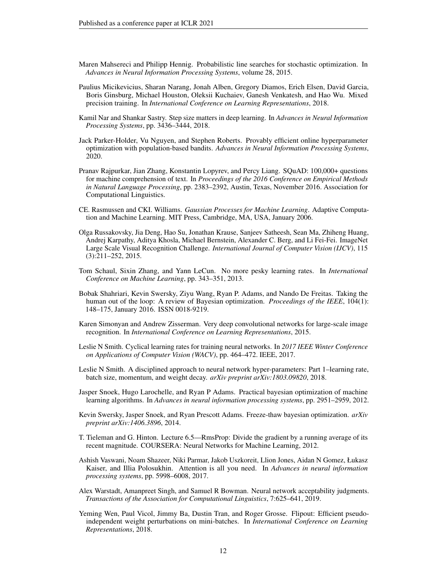- <span id="page-11-9"></span>Maren Mahsereci and Philipp Hennig. Probabilistic line searches for stochastic optimization. In *Advances in Neural Information Processing Systems*, volume 28, 2015.
- <span id="page-11-13"></span>Paulius Micikevicius, Sharan Narang, Jonah Alben, Gregory Diamos, Erich Elsen, David Garcia, Boris Ginsburg, Michael Houston, Oleksii Kuchaiev, Ganesh Venkatesh, and Hao Wu. Mixed precision training. In *International Conference on Learning Representations*, 2018.
- <span id="page-11-0"></span>Kamil Nar and Shankar Sastry. Step size matters in deep learning. In *Advances in Neural Information Processing Systems*, pp. 3436–3444, 2018.
- <span id="page-11-6"></span>Jack Parker-Holder, Vu Nguyen, and Stephen Roberts. Provably efficient online hyperparameter optimization with population-based bandits. *Advances in Neural Information Processing Systems*, 2020.
- <span id="page-11-15"></span>Pranav Rajpurkar, Jian Zhang, Konstantin Lopyrev, and Percy Liang. SQuAD: 100,000+ questions for machine comprehension of text. In *Proceedings of the 2016 Conference on Empirical Methods in Natural Language Processing*, pp. 2383–2392, Austin, Texas, November 2016. Association for Computational Linguistics.
- <span id="page-11-16"></span>CE. Rasmussen and CKI. Williams. *Gaussian Processes for Machine Learning*. Adaptive Computation and Machine Learning. MIT Press, Cambridge, MA, USA, January 2006.
- <span id="page-11-1"></span>Olga Russakovsky, Jia Deng, Hao Su, Jonathan Krause, Sanjeev Satheesh, Sean Ma, Zhiheng Huang, Andrej Karpathy, Aditya Khosla, Michael Bernstein, Alexander C. Berg, and Li Fei-Fei. ImageNet Large Scale Visual Recognition Challenge. *International Journal of Computer Vision (IJCV)*, 115 (3):211–252, 2015.
- <span id="page-11-8"></span>Tom Schaul, Sixin Zhang, and Yann LeCun. No more pesky learning rates. In *International Conference on Machine Learning*, pp. 343–351, 2013.
- <span id="page-11-10"></span>Bobak Shahriari, Kevin Swersky, Ziyu Wang, Ryan P. Adams, and Nando De Freitas. Taking the human out of the loop: A review of Bayesian optimization. *Proceedings of the IEEE*, 104(1): 148–175, January 2016. ISSN 0018-9219.
- <span id="page-11-12"></span>Karen Simonyan and Andrew Zisserman. Very deep convolutional networks for large-scale image recognition. In *International Conference on Learning Representations*, 2015.
- <span id="page-11-3"></span>Leslie N Smith. Cyclical learning rates for training neural networks. In *2017 IEEE Winter Conference on Applications of Computer Vision (WACV)*, pp. 464–472. IEEE, 2017.
- <span id="page-11-4"></span>Leslie N Smith. A disciplined approach to neural network hyper-parameters: Part 1–learning rate, batch size, momentum, and weight decay. *arXiv preprint arXiv:1803.09820*, 2018.
- <span id="page-11-5"></span>Jasper Snoek, Hugo Larochelle, and Ryan P Adams. Practical bayesian optimization of machine learning algorithms. In *Advances in neural information processing systems*, pp. 2951–2959, 2012.
- <span id="page-11-17"></span>Kevin Swersky, Jasper Snoek, and Ryan Prescott Adams. Freeze-thaw bayesian optimization. *arXiv preprint arXiv:1406.3896*, 2014.
- <span id="page-11-7"></span>T. Tieleman and G. Hinton. Lecture 6.5—RmsProp: Divide the gradient by a running average of its recent magnitude. COURSERA: Neural Networks for Machine Learning, 2012.
- <span id="page-11-2"></span>Ashish Vaswani, Noam Shazeer, Niki Parmar, Jakob Uszkoreit, Llion Jones, Aidan N Gomez, Łukasz Kaiser, and Illia Polosukhin. Attention is all you need. In *Advances in neural information processing systems*, pp. 5998–6008, 2017.
- <span id="page-11-14"></span>Alex Warstadt, Amanpreet Singh, and Samuel R Bowman. Neural network acceptability judgments. *Transactions of the Association for Computational Linguistics*, 7:625–641, 2019.
- <span id="page-11-11"></span>Yeming Wen, Paul Vicol, Jimmy Ba, Dustin Tran, and Roger Grosse. Flipout: Efficient pseudoindependent weight perturbations on mini-batches. In *International Conference on Learning Representations*, 2018.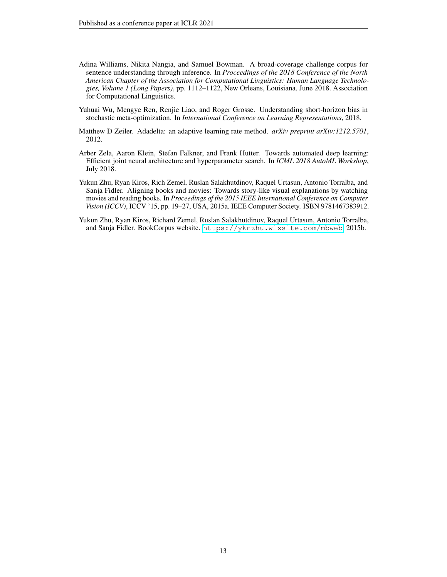- <span id="page-12-3"></span>Adina Williams, Nikita Nangia, and Samuel Bowman. A broad-coverage challenge corpus for sentence understanding through inference. In *Proceedings of the 2018 Conference of the North American Chapter of the Association for Computational Linguistics: Human Language Technologies, Volume 1 (Long Papers)*, pp. 1112–1122, New Orleans, Louisiana, June 2018. Association for Computational Linguistics.
- <span id="page-12-5"></span>Yuhuai Wu, Mengye Ren, Renjie Liao, and Roger Grosse. Understanding short-horizon bias in stochastic meta-optimization. In *International Conference on Learning Representations*, 2018.
- <span id="page-12-0"></span>Matthew D Zeiler. Adadelta: an adaptive learning rate method. *arXiv preprint arXiv:1212.5701*, 2012.
- <span id="page-12-1"></span>Arber Zela, Aaron Klein, Stefan Falkner, and Frank Hutter. Towards automated deep learning: Efficient joint neural architecture and hyperparameter search. In *ICML 2018 AutoML Workshop*, July 2018.
- <span id="page-12-2"></span>Yukun Zhu, Ryan Kiros, Rich Zemel, Ruslan Salakhutdinov, Raquel Urtasun, Antonio Torralba, and Sanja Fidler. Aligning books and movies: Towards story-like visual explanations by watching movies and reading books. In *Proceedings of the 2015 IEEE International Conference on Computer Vision (ICCV)*, ICCV '15, pp. 19–27, USA, 2015a. IEEE Computer Society. ISBN 9781467383912.
- <span id="page-12-4"></span>Yukun Zhu, Ryan Kiros, Richard Zemel, Ruslan Salakhutdinov, Raquel Urtasun, Antonio Torralba, and Sanja Fidler. BookCorpus website. <https://yknzhu.wixsite.com/mbweb>, 2015b.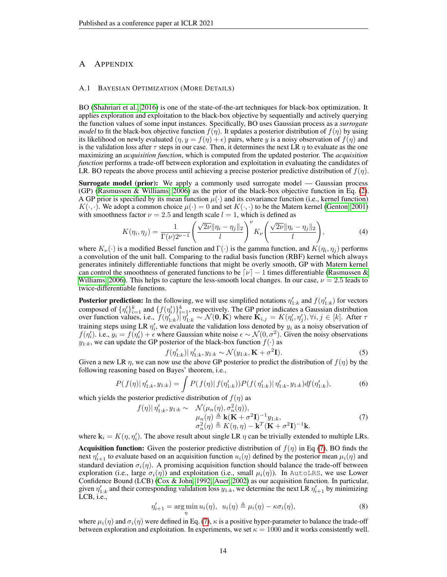# A APPENDIX

#### <span id="page-13-1"></span>A.1 BAYESIAN OPTIMIZATION (MORE DETAILS)

BO [\(Shahriari et al., 2016\)](#page-11-10) is one of the state-of-the-art techniques for black-box optimization. It applies exploration and exploitation to the black-box objective by sequentially and actively querying the function values of some input instances. Specifically, BO uses Gaussian process as a *surrogate model* to fit the black-box objective function  $f(\eta)$ . It updates a posterior distribution of  $f(\eta)$  by using its likelihood on newly evaluated  $(\eta, y = f(\eta) + \epsilon)$  pairs, where y is a noisy observation of  $f(\eta)$  and is the validation loss after  $\tau$  steps in our case. Then, it determines the next LR  $\eta$  to evaluate as the one maximizing an *acquisition function*, which is computed from the updated posterior. The *acquisition function* performs a trade-off between exploration and exploitation in evaluating the candidates of LR. BO repeats the above process until achieving a precise posterior predictive distribution of  $f(\eta)$ .

**Surrogate model (prior):** We apply a commonly used surrogate model — Gaussian process (GP) [\(Rasmussen & Williams, 2006\)](#page-11-16) as the prior of the black-box objective function in Eq. [\(2\)](#page-3-0). A GP prior is specified by its mean function  $\mu(\cdot)$  and its covariance function (i.e., kernel function)  $K(\cdot, \cdot)$ . We adopt a common choice  $\mu(\cdot) = 0$  and set  $K(\cdot, \cdot)$  to be the Matern kernel [\(Genton, 2001\)](#page-9-14) with smoothness factor  $\nu = 2.5$  and length scale  $l = 1$ , which is defined as

<span id="page-13-2"></span>
$$
K(\eta_i, \eta_j) = \frac{1}{\Gamma(\nu)2^{\nu-1}} \left( \frac{\sqrt{2\nu} \|\eta_i - \eta_j\|_2}{l} \right)^{\nu} K_{\nu} \left( \frac{\sqrt{2\nu} \|\eta_i - \eta_j\|_2}{l} \right), \tag{4}
$$

where  $K_{\nu}(\cdot)$  is a modified Bessel function and  $\Gamma(\cdot)$  is the gamma function, and  $K(\eta_i, \eta_j)$  performs a convolution of the unit ball. Comparing to the radial basis function (RBF) kernel which always generates infinitely differentiable functions that might be overly smooth, GP with Matern kernel can control the smoothness of generated functions to be  $\lceil \nu \rceil - 1$  times differentiable [\(Rasmussen &](#page-11-16) [Williams, 2006\)](#page-11-16). This helps to capture the less-smooth local changes. In our case,  $\nu = 2.5$  leads to twice-differentiable functions.

**Posterior prediction:** In the following, we will use simplified notations  $\eta'_{1:k}$  and  $f(\eta'_{1:k})$  for vectors composed of  $\{\eta'_i\}_{i=1}^k$  and  $\{f(\eta'_i)\}_{i=1}^k$ , respectively. The GP prior indicates a Gaussian distribution over function values, i.e.,  $\widetilde{f}(\eta_{1:k}^{i'})|\overline{\eta}_{1:k}^{i} \sim \mathcal{N}(\mathbf{0}, \mathbf{K})$  where  $\mathbf{\widetilde{K}}_{i,j} = K(\eta_i', \eta_j'), \forall i, j \in [k]$ . After  $\tau$ training steps using LR  $\eta'_i$ , we evaluate the validation loss denoted by  $y_i$  as a noisy observation of  $f(\eta'_i)$ . i.e.,  $y_i = f(\eta'_i) + \epsilon$  where Gaussian white noise  $\epsilon \sim \mathcal{N}(0, \sigma^2)$ . Given the noisy observations  $y_{1:k}$ , we can update the GP posterior of the black-box function  $f(\cdot)$  as

<span id="page-13-0"></span>
$$
f(\eta'_{1:k})|\eta'_{1:k}, y_{1:k} \sim \mathcal{N}(y_{1:k}, \mathbf{K} + \sigma^2 \mathbf{I}).
$$
 (5)

Given a new LR  $\eta$ , we can now use the above GP posterior to predict the distribution of  $f(\eta)$  by the following reasoning based on Bayes' theorem, i.e.,

$$
P(f(\eta)|\eta'_{1:k}, y_{1:k}) = \int P(f(\eta)|f(\eta'_{1:k}))P(f(\eta'_{1:k})|\eta'_{1:k}, y_{1:k})df(\eta'_{1:k}),
$$
\n(6)

which yields the posterior predictive distribution of  $f(\eta)$  as

$$
f(\eta)|\eta'_{1:k}, y_{1:k} \sim \mathcal{N}(\mu_n(\eta), \sigma_n^2(\eta)),
$$
  
\n
$$
\mu_n(\eta) \triangleq \mathbf{k}(\mathbf{K} + \sigma^2 \mathbf{I})^{-1} y_{1:k},
$$
  
\n
$$
\sigma_n^2(\eta) \triangleq K(\eta, \eta) - \mathbf{k}^T (\mathbf{K} + \sigma^2 \mathbf{I})^{-1} \mathbf{k}.
$$
\n(7)

where  $\mathbf{k}_i = K(\eta, \eta'_i)$ . The above result about single LR  $\eta$  can be trivially extended to multiple LRs.

**Acquisition function:** Given the posterior predictive distribution of  $f(\eta)$  in Eq [\(7\)](#page-13-0), BO finds the next  $\eta'_{i+1}$  to evaluate based on an acquisition function  $u_i(\eta)$  defined by the posterior mean  $\mu_i(\eta)$  and standard deviation  $\sigma_i(\eta)$ . A promising acquisition function should balance the trade-off between exploration (i.e., large  $\sigma_i(\eta)$ ) and exploitation (i.e., small  $\mu_i(\eta)$ ). In AutoLRS, we use Lower Confidence Bound (LCB) [\(Cox & John, 1992;](#page-9-9) [Auer, 2002\)](#page-9-10) as our acquisition function. In particular, given  $\eta'_{1:k}$  and their corresponding validation loss  $y_{1:k}$ , we determine the next LR  $\eta'_{i+1}$  by minimizing LCB, i.e.,

$$
\eta'_{i+1} = \underset{\eta}{\arg\min} \, u_i(\eta), \ \ u_i(\eta) \triangleq \mu_i(\eta) - \kappa \sigma_i(\eta), \tag{8}
$$

where  $\mu_i(\eta)$  and  $\sigma_i(\eta)$  were defined in Eq. [\(7\)](#page-13-0),  $\kappa$  is a positive hyper-parameter to balance the trade-off between exploration and exploitation. In experiments, we set  $\kappa = 1000$  and it works consistently well.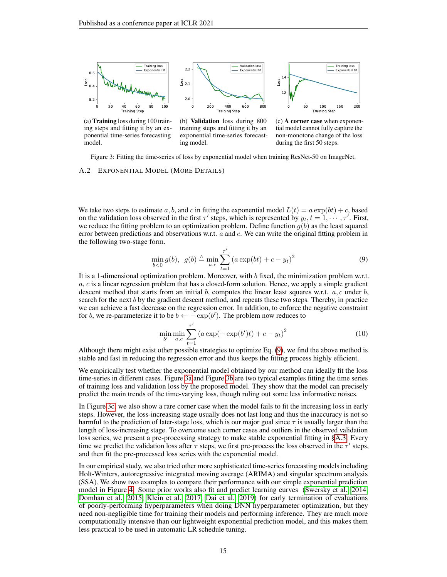<span id="page-14-0"></span>

(a) Training loss during 100 training steps and fitting it by an exponential time-series forecasting model.

(b) Validation loss during 800 training steps and fitting it by an exponential time-series forecasting model.

(c) A corner case when exponential model cannot fully capture the non-monotone change of the loss during the first 50 steps.

Figure 3: Fitting the time-series of loss by exponential model when training ResNet-50 on ImageNet.

#### <span id="page-14-1"></span>A.2 EXPONENTIAL MODEL (MORE DETAILS)

We take two steps to estimate a, b, and c in fitting the exponential model  $L(t) = a \exp(bt) + c$ , based on the validation loss observed in the first  $\tau'$  steps, which is represented by  $y_t$ ,  $t = 1, \dots, \tau'$ . First, we reduce the fitting problem to an optimization problem. Define function  $g(b)$  as the least squared error between predictions and observations w.r.t. a and c. We can write the original fitting problem in the following two-stage form.

<span id="page-14-2"></span>
$$
\min_{b<0} g(b), \ \ g(b) \triangleq \min_{a,c} \sum_{t=1}^{\tau'} \left( a \exp(bt) + c - y_t \right)^2 \tag{9}
$$

It is a 1-dimensional optimization problem. Moreover, with b fixed, the minimization problem w.r.t.  $a, c$  is a linear regression problem that has a closed-form solution. Hence, we apply a simple gradient descent method that starts from an initial b, computes the linear least squares w.r.t.  $a, c$  under  $b$ , search for the next b by the gradient descent method, and repeats these two steps. Thereby, in practice we can achieve a fast decrease on the regression error. In addition, to enforce the negative constraint for b, we re-parameterize it to be  $b \leftarrow -\exp(b')$ . The problem now reduces to

$$
\min_{b'} \min_{a,c} \sum_{t=1}^{\tau'} \left( a \exp(-\exp(b')t) + c - y_t \right)^2 \tag{10}
$$

Although there might exist other possible strategies to optimize Eq. [\(9\)](#page-14-2), we find the above method is stable and fast in reducing the regression error and thus keeps the fitting process highly efficient.

We empirically test whether the exponential model obtained by our method can ideally fit the loss time-series in different cases. Figure [3a](#page-14-0) and Figure [3b](#page-14-0) are two typical examples fitting the time series of training loss and validation loss by the proposed model. They show that the model can precisely predict the main trends of the time-varying loss, though ruling out some less informative noises.

In Figure [3c,](#page-14-0) we also show a rare corner case when the model fails to fit the increasing loss in early steps. However, the loss-increasing stage usually does not last long and thus the inaccuracy is not so harmful to the prediction of later-stage loss, which is our major goal since  $\tau$  is usually larger than the length of loss-increasing stage. To overcome such corner cases and outliers in the observed validation loss series, we present a pre-processing strategy to make stable exponential fitting in [§A.3.](#page-15-0) Every time we predict the validation loss after  $\tau$  steps, we first pre-process the loss observed in the  $\tau'$  steps, and then fit the pre-processed loss series with the exponential model.

In our empirical study, we also tried other more sophisticated time-series forecasting models including Holt-Winters, autoregressive integrated moving average (ARIMA) and singular spectrum analysis (SSA). We show two examples to compare their performance with our simple exponential prediction model in Figure [4.](#page-15-2) Some prior works also fit and predict learning curves [\(Swersky et al., 2014;](#page-11-17) [Domhan et al., 2015;](#page-9-15) [Klein et al., 2017;](#page-10-15) [Dai et al., 2019\)](#page-9-16) for early termination of evaluations of poorly-performing hyperparameters when doing DNN hyperparameter optimization, but they need non-negligible time for training their models and performing inference. They are much more computationally intensive than our lightweight exponential prediction model, and this makes them less practical to be used in automatic LR schedule tuning.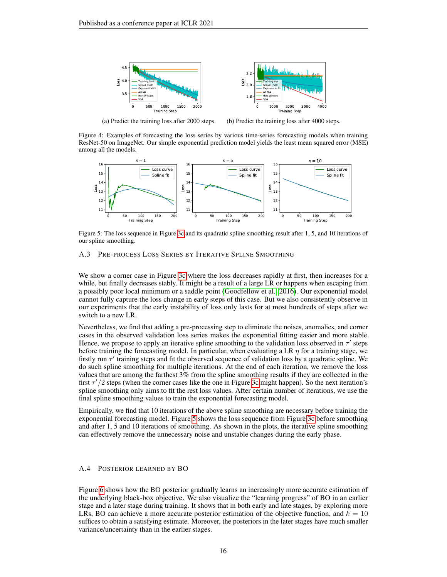<span id="page-15-2"></span>

(a) Predict the training loss after 2000 steps.

(b) Predict the training loss after 4000 steps.

Figure 4: Examples of forecasting the loss series by various time-series forecasting models when training ResNet-50 on ImageNet. Our simple exponential prediction model yields the least mean squared error (MSE) among all the models.

<span id="page-15-3"></span>

Figure 5: The loss sequence in Figure [3c](#page-14-0) and its quadratic spline smoothing result after 1, 5, and 10 iterations of our spline smoothing.

# <span id="page-15-0"></span>A.3 PRE-PROCESS LOSS SERIES BY ITERATIVE SPLINE SMOOTHING

We show a corner case in Figure [3c](#page-14-0) where the loss decreases rapidly at first, then increases for a while, but finally decreases stably. It might be a result of a large LR or happens when escaping from a possibly poor local minimum or a saddle point [\(Goodfellow et al., 2016\)](#page-9-0). Our exponential model cannot fully capture the loss change in early steps of this case. But we also consistently observe in our experiments that the early instability of loss only lasts for at most hundreds of steps after we switch to a new LR.

Nevertheless, we find that adding a pre-processing step to eliminate the noises, anomalies, and corner cases in the observed validation loss series makes the exponential fitting easier and more stable. Hence, we propose to apply an iterative spline smoothing to the validation loss observed in  $\tau'$  steps before training the forecasting model. In particular, when evaluating a LR  $\eta$  for a training stage, we firstly run  $\tau'$  training steps and fit the observed sequence of validation loss by a quadratic spline. We do such spline smoothing for multiple iterations. At the end of each iteration, we remove the loss values that are among the farthest 3% from the spline smoothing results if they are collected in the first  $\tau'/2$  steps (when the corner cases like the one in Figure [3c](#page-14-0) might happen). So the next iteration's spline smoothing only aims to fit the rest loss values. After certain number of iterations, we use the final spline smoothing values to train the exponential forecasting model.

Empirically, we find that 10 iterations of the above spline smoothing are necessary before training the exponential forecasting model. Figure [5](#page-15-3) shows the loss sequence from Figure [3c](#page-14-0) before smoothing and after 1, 5 and 10 iterations of smoothing. As shown in the plots, the iterative spline smoothing can effectively remove the unnecessary noise and unstable changes during the early phase.

#### <span id="page-15-1"></span>A.4 POSTERIOR LEARNED BY BO

Figure [6](#page-16-1) shows how the BO posterior gradually learns an increasingly more accurate estimation of the underlying black-box objective. We also visualize the "learning progress" of BO in an earlier stage and a later stage during training. It shows that in both early and late stages, by exploring more LRs, BO can achieve a more accurate posterior estimation of the objective function, and  $k = 10$ suffices to obtain a satisfying estimate. Moreover, the posteriors in the later stages have much smaller variance/uncertainty than in the earlier stages.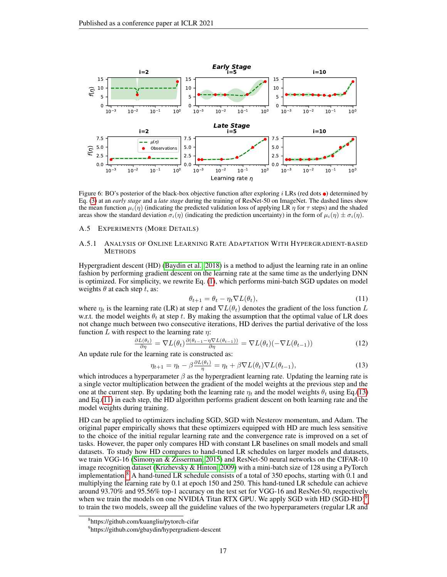<span id="page-16-1"></span>

Figure 6: BO's posterior of the black-box objective function after exploring i LRs (red dots  $\bullet$ ) determined by Eq. [\(3\)](#page-3-4) at an *early stage* and a *late stage* during the training of ResNet-50 on ImageNet. The dashed lines show the mean function  $\mu_i(\eta)$  (indicating the predicted validation loss of applying LR  $\eta$  for  $\tau$  steps) and the shaded areas show the standard deviation  $\sigma_i(\eta)$  (indicating the prediction uncertainty) in the form of  $\mu_i(\eta) \pm \sigma_i(\eta)$ .

#### A.5 EXPERIMENTS (MORE DETAILS)

### <span id="page-16-0"></span>A.5.1 ANALYSIS OF ONLINE LEARNING RATE ADAPTATION WITH HYPERGRADIENT-BASED **METHODS**

Hypergradient descent (HD) [\(Baydin et al., 2018\)](#page-9-4) is a method to adjust the learning rate in an online fashion by performing gradient descent on the learning rate at the same time as the underlying DNN is optimized. For simplicity, we rewrite Eq. [\(1\)](#page-2-0), which performs mini-batch SGD updates on model weights  $\theta$  at each step t, as:

<span id="page-16-3"></span><span id="page-16-2"></span>
$$
\theta_{t+1} = \theta_t - \eta_t \nabla L(\theta_t), \qquad (11)
$$

where  $\eta_t$  is the learning rate (LR) at step t and  $\nabla L(\theta_t)$  denotes the gradient of the loss function L w.r.t. the model weights  $\theta_t$  at step t. By making the assumption that the optimal value of LR does not change much between two consecutive iterations, HD derives the partial derivative of the loss function L with respect to the learning rate  $\eta$ :

$$
\frac{\partial L(\theta_t)}{\partial \eta} = \nabla L(\theta_t) \frac{\partial (\theta_{t-1} - \eta \nabla L(\theta_{t-1}))}{\partial \eta} = \nabla L(\theta_t) (-\nabla L(\theta_{t-1})) \tag{12}
$$

An update rule for the learning rate is constructed as:

$$
\eta_{t+1} = \eta_t - \beta \frac{\partial L(\theta_t)}{\eta} = \eta_t + \beta \nabla L(\theta_t) \nabla L(\theta_{t-1}),\tag{13}
$$

which introduces a hyperparameter  $\beta$  as the hypergradient learning rate. Updating the learning rate is a single vector multiplication between the gradient of the model weights at the previous step and the one at the current step. By updating both the learning rate  $\eta_t$  and the model weights  $\theta_t$  using Eq.[\(13\)](#page-16-2) and Eq.[\(11\)](#page-16-3) in each step, the HD algorithm performs gradient descent on both learning rate and the model weights during training.

HD can be applied to optimizers including SGD, SGD with Nesterov momentum, and Adam. The original paper empirically shows that these optimizers equipped with HD are much less sensitive to the choice of the initial regular learning rate and the convergence rate is improved on a set of tasks. However, the paper only compares HD with constant LR baselines on small models and small datasets. To study how HD compares to hand-tuned LR schedules on larger models and datasets, we train VGG-16 [\(Simonyan & Zisserman, 2015\)](#page-11-12) and ResNet-50 neural networks on the CIFAR-10 image recognition dataset [\(Krizhevsky & Hinton, 2009\)](#page-10-16) with a mini-batch size of 128 using a PyTorch implementation.<sup>[8](#page-16-4)</sup> A hand-tuned LR schedule consists of a total of 350 epochs, starting with 0.1 and multiplying the learning rate by 0.1 at epoch 150 and 250. This hand-tuned LR schedule can achieve around 93.70% and 95.56% top-1 accuracy on the test set for VGG-16 and ResNet-50, respectively when we train the models on one NVIDIA Titan RTX GPU. We apply SGD with HD (SGD-HD)<sup>[9](#page-16-5)</sup> to train the two models, sweep all the guideline values of the two hyperparameters (regular LR and

<span id="page-16-4"></span><sup>8</sup> https://github.com/kuangliu/pytorch-cifar

<span id="page-16-5"></span><sup>9</sup> https://github.com/gbaydin/hypergradient-descent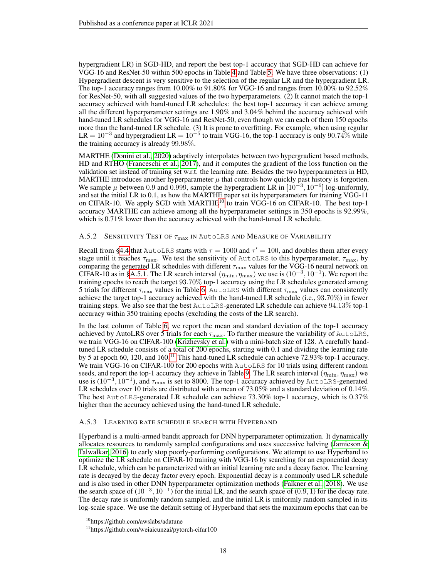hypergradient LR) in SGD-HD, and report the best top-1 accuracy that SGD-HD can achieve for VGG-16 and ResNet-50 within 500 epochs in Table [4](#page-19-0) and Table [5.](#page-20-0) We have three observations: (1) Hypergradient descent is very sensitive to the selection of the regular LR and the hypergradient LR. The top-1 accuracy ranges from 10.00% to 91.80% for VGG-16 and ranges from 10.00% to 92.52% for ResNet-50, with all suggested values of the two hyperparameters. (2) It cannot match the top-1 accuracy achieved with hand-tuned LR schedules: the best top-1 accuracy it can achieve among all the different hyperparameter settings are 1.90% and 3.04% behind the accuracy achieved with hand-tuned LR schedules for VGG-16 and ResNet-50, even though we ran each of them 150 epochs more than the hand-tuned LR schedule. (3) It is prone to overfitting. For example, when using regular  $LR = 10^{-3}$  and hypergradient  $LR = 10^{-5}$  to train VGG-16, the top-1 accuracy is only 90.74% while the training accuracy is already 99.98%.

MARTHE [\(Donini et al., 2020\)](#page-9-5) adaptively interpolates between two hypergradient based methods, HD and RTHO [\(Franceschi et al., 2017\)](#page-9-3), and it computes the gradient of the loss function on the validation set instead of training set w.r.t. the learning rate. Besides the two hyperparameters in HD, MARTHE introduces another hyperparameter  $\mu$  that controls how quickly past history is forgotten. We sample  $\mu$  between 0.9 and 0.999, sample the hypergradient LR in  $[10^{-3}, 10^{-6}]$  log-uniformly, and set the initial LR to 0.1, as how the MARTHE paper set its hyperparameters for training VGG-11 on CIFAR-[10](#page-17-2). We apply SGD with MARTHE<sup>10</sup> to train VGG-16 on CIFAR-10. The best top-1 accuracy MARTHE can achieve among all the hyperparameter settings in 350 epochs is 92.99%, which is  $0.71\%$  lower than the accuracy achieved with the hand-tuned LR schedule.

# <span id="page-17-0"></span>A.5.2 SENSITIVITY TEST OF  $\tau_{\text{max}}$  IN Autolrs and Measure of Variability

Recall from [§4.4](#page-5-1) that AutoLRS starts with  $\tau = 1000$  and  $\tau' = 100$ , and doubles them after every stage until it reaches  $\tau_{\text{max}}$ . We test the sensitivity of AutoLRS to this hyperparameter,  $\tau_{\text{max}}$ , by comparing the generated LR schedules with different  $\tau_{\text{max}}$  values for the VGG-16 neural network on CIFAR-10 as in [§A.5.1.](#page-16-0) The LR search interval  $(\eta_{\min}, \eta_{\max})$  we use is  $(10^{-3}, 10^{-1})$ . We report the training epochs to reach the target 93.70% top-1 accuracy using the LR schedules generated among 5 trials for different  $\tau_{\text{max}}$  values in Table [6.](#page-21-0) AutoLRS with different  $\tau_{\text{max}}$  values can consistently achieve the target top-1 accuracy achieved with the hand-tuned LR schedule (i.e., 93.70%) in fewer training steps. We also see that the best AutoLRS-generated LR schedule can achieve 94.13% top-1 accuracy within 350 training epochs (excluding the costs of the LR search).

In the last column of Table [6,](#page-21-0) we report the mean and standard deviation of the top-1 accuracy achieved by AutoLRS over 5 trials for each  $\tau_{\text{max}}$ . To further measure the variability of AutoLRS, we train VGG-16 on CIFAR-100 [\(Krizhevsky et al.\)](#page-10-17) with a mini-batch size of 128. A carefully handtuned LR schedule consists of a total of 200 epochs, starting with 0.1 and dividing the learning rate by 5 at epoch 60, 120, and 160.<sup>[11](#page-17-3)</sup> This hand-tuned LR schedule can achieve 72.93% top-1 accuracy. We train VGG-16 on CIFAR-100 for 200 epochs with AutoLRS for 10 trials using different random seeds, and report the top-1 accuracy they achieve in Table [9.](#page-21-1) The LR search interval  $(\eta_{\min}, \eta_{\max})$  we use is  $(10^{-3}, 10^{-1})$ , and  $\tau_{\text{max}}$  is set to 8000. The top-1 accuracy achieved by AutoLRS-generated LR schedules over 10 trials are distributed with a mean of 73.05% and a standard deviation of 0.14%. The best AutoLRS-generated LR schedule can achieve 73.30% top-1 accuracy, which is 0.37% higher than the accuracy achieved using the hand-tuned LR schedule.

### <span id="page-17-1"></span>A.5.3 LEARNING RATE SCHEDULE SEARCH WITH HYPERBAND

Hyperband is a multi-armed bandit approach for DNN hyperparameter optimization. It dynamically allocates resources to randomly sampled configurations and uses successive halving (Jamieson  $\&$ [Talwalkar, 2016\)](#page-10-18) to early stop poorly-performing configurations. We attempt to use Hyperband to optimize the LR schedule on CIFAR-10 training with VGG-16 by searching for an exponential decay LR schedule, which can be parameterized with an initial learning rate and a decay factor. The learning rate is decayed by the decay factor every epoch. Exponential decay is a commonly used LR schedule and is also used in other DNN hyperparameter optimization methods [\(Falkner et al., 2018\)](#page-9-7). We use the search space of  $(10^{-3}, 10^{-1})$  for the initial LR, and the search space of  $(0.9, 1)$  for the decay rate. The decay rate is uniformly random sampled, and the initial LR is uniformly random sampled in its log-scale space. We use the default setting of Hyperband that sets the maximum epochs that can be

<span id="page-17-2"></span><sup>&</sup>lt;sup>10</sup>https://github.com/awslabs/adatune

<span id="page-17-3"></span><sup>&</sup>lt;sup>11</sup>https://github.com/weiaicunzai/pytorch-cifar100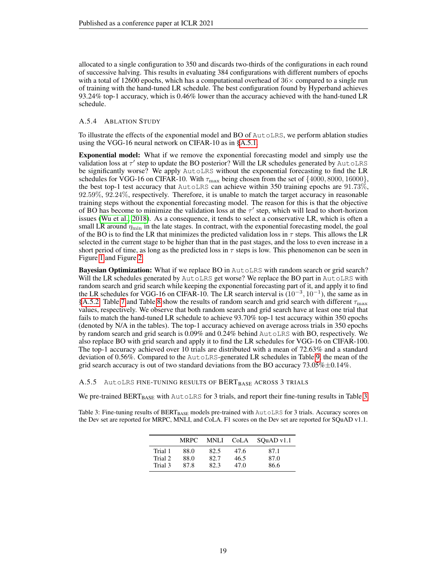allocated to a single configuration to 350 and discards two-thirds of the configurations in each round of successive halving. This results in evaluating 384 configurations with different numbers of epochs with a total of 12600 epochs, which has a computational overhead of  $36\times$  compared to a single run of training with the hand-tuned LR schedule. The best configuration found by Hyperband achieves 93.24% top-1 accuracy, which is 0.46% lower than the accuracy achieved with the hand-tuned LR schedule.

### <span id="page-18-0"></span>A.5.4 ABLATION STUDY

To illustrate the effects of the exponential model and BO of AutoLRS, we perform ablation studies using the VGG-16 neural network on CIFAR-10 as in [§A.5.1.](#page-16-0)

Exponential model: What if we remove the exponential forecasting model and simply use the validation loss at  $\tau'$  step to update the BO posterior? Will the LR schedules generated by AutoLRS be significantly worse? We apply AutoLRS without the exponential forecasting to find the LR schedules for VGG-16 on CIFAR-10. With  $\tau_{\rm max}$  being chosen from the set of  $\{4000, 8000, 16000\}$ , the best top-1 test accuracy that AutoLRS can achieve within 350 training epochs are 91.73%, 92.59%, 92.24%, respectively. Therefore, it is unable to match the target accuracy in reasonable training steps without the exponential forecasting model. The reason for this is that the objective of BO has become to minimize the validation loss at the  $\tau'$  step, which will lead to short-horizon issues [\(Wu et al., 2018\)](#page-12-5). As a consequence, it tends to select a conservative LR, which is often a small LR around  $\eta_{\min}$  in the late stages. In contract, with the exponential forecasting model, the goal of the BO is to find the LR that minimizes the predicted validation loss in  $\tau$  steps. This allows the LR selected in the current stage to be higher than that in the past stages, and the loss to even increase in a short period of time, as long as the predicted loss in  $\tau$  steps is low. This phenomenon can be seen in Figure [1](#page-7-0) and Figure [2.](#page-7-2)

Bayesian Optimization: What if we replace BO in AutoLRS with random search or grid search? Will the LR schedules generated by AutoLRS get worse? We replace the BO part in AutoLRS with random search and grid search while keeping the exponential forecasting part of it, and apply it to find the LR schedules for VGG-16 on CIFAR-10. The LR search interval is  $(10^{-3}, 10^{-1})$ , the same as in [§A.5.2.](#page-17-0) Table [7](#page-21-2) and Table [8](#page-21-3) show the results of random search and grid search with different  $\tau_{\text{max}}$ values, respectively. We observe that both random search and grid search have at least one trial that fails to match the hand-tuned LR schedule to achieve 93.70% top-1 test accuracy within 350 epochs (denoted by N/A in the tables). The top-1 accuracy achieved on average across trials in 350 epochs by random search and grid search is 0.09% and 0.24% behind AutoLRS with BO, respectively. We also replace BO with grid search and apply it to find the LR schedules for VGG-16 on CIFAR-100. The top-1 accuracy achieved over 10 trials are distributed with a mean of 72.63% and a standard deviation of 0.56%. Compared to the AutoLRS-generated LR schedules in Table [9,](#page-21-1) the mean of the grid search accuracy is out of two standard deviations from the BO accuracy  $73.05\% \pm 0.14\%$ .

<span id="page-18-1"></span>A.5.5 AutoLRS FINE-TUNING RESULTS OF BERT<sub>BASE</sub> ACROSS 3 TRIALS

We pre-trained BERT<sub>BASE</sub> with AutoLRS for 3 trials, and report their fine-tuning results in Table [3.](#page-18-2)

<span id="page-18-2"></span>Table 3: Fine-tuning results of BERT<sub>BASE</sub> models pre-trained with AutoLRS for 3 trials. Accuracy scores on the Dev set are reported for MRPC, MNLI, and CoLA. F1 scores on the Dev set are reported for SQuAD v1.1.

|                    | <b>MRPC</b>  | MNLI         | CoLA         | SOuAD v1.1   |
|--------------------|--------------|--------------|--------------|--------------|
| Trial 1<br>Trial 2 | 88.0<br>88.0 | 82.5<br>82.7 | 47.6<br>46.5 | 87.1<br>87.0 |
| Trial 3            | 87.8         | 82.3         | 47.0         | 86.6         |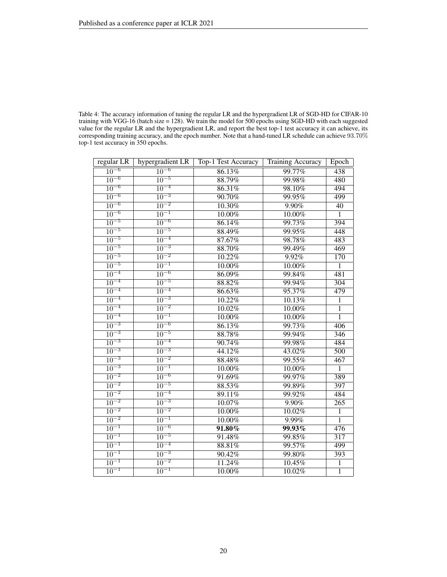<span id="page-19-0"></span>

| Table 4: The accuracy information of tuning the regular LR and the hypergradient LR of SGD-HD for CIFAR-10      |
|-----------------------------------------------------------------------------------------------------------------|
| training with VGG-16 (batch size $= 128$ ). We train the model for 500 epochs using SGD-HD with each suggested  |
| value for the regular LR and the hypergradient LR, and report the best top-1 test accuracy it can achieve, its  |
| corresponding training accuracy, and the epoch number. Note that a hand-tuned LR schedule can achieve $93.70\%$ |
| top-1 test accuracy in 350 epochs.                                                                              |

| regular LR           | hypergradient LR     | Top-1 Test Accuracy | Training Accuracy | Epoch            |
|----------------------|----------------------|---------------------|-------------------|------------------|
| $10^{-6}$            | $10^{-6}$            | 86.13%<br>99.77%    |                   | 438              |
| $10^{-6}$            | $10^{-5}$            | 88.79%              | 99.98%            | 480              |
| $\overline{10^{-6}}$ | $\overline{10^{-4}}$ | 86.31%              | 98.10%            | 494              |
| $10^{-6}$            | $10^{-3}$            | 90.70%              | 99.95%            | 499              |
| $10^{-6}$            | $10^{-2}$            | 10.30%              | $9.90\%$          | $\overline{40}$  |
| $\overline{10^{-6}}$ | $\overline{10^{-1}}$ | $10.00\%$           | $10.00\%$         | $\overline{1}$   |
| $10^{-5}$            | $\overline{10^{-6}}$ | 86.14%              | 99.73%            | 394              |
| $\overline{10^{-5}}$ | $\overline{10^{-5}}$ | 88.49%              | 99.95%            | 448              |
| $10^{-5}$            | $10^{-4}$            | 87.67%              | 98.78%            | 483              |
| $10^{-5}$            | $10^{-3}$            | 88.70%              | 99.49%            | 469              |
| $10^{-5}$            | $1\overline{0^{-2}}$ | 10.22%              | 9.92%             | 170              |
| $10^{-5}$            | $10^{-1}$            | 10.00%              | 10.00%            | $\overline{1}$   |
| $10^{-4}$            | $\overline{10^{-6}}$ | 86.09%              | 99.84%            | 481              |
| $10^{-4}$            | $10^{-5}$            | 88.82%              | 99.94%            | $\overline{304}$ |
| $10^{-4}$            | $1\overline{0^{-4}}$ | 86.63%              | 95.37%            | 479              |
| $\overline{10^{-4}}$ | $\overline{10^{-3}}$ | 10.22%              | 10.13%            | $\overline{1}$   |
| $10^{-4}$            | $\overline{10^{-2}}$ | 10.02%              | $10.00\%$         | $\overline{1}$   |
| $10^{-4}$            | $10^{-1}$            | $10.00\%$           | 10.00%            | $\overline{1}$   |
| $10^{-3}$            | $\overline{10^{-6}}$ | 86.13%              | 99.73%            | 406              |
| $10^{-3}$            | $10^{-5}$            | 88.78%              | 99.94%            | $\frac{346}{3}$  |
| $10^{-3}$            | $10^{-4}$            | 90.74%              | 99.98%            | 484              |
| $1\overline{0^{-3}}$ | $\overline{10^{-3}}$ | 44.12%              | 43.02%            | $\overline{500}$ |
| $10^{-3}$            | $10^{-2}$            | 88.48%              | 99.55%            | 467              |
| $10^{-3}$            | $\overline{10^{-1}}$ | $10.00\%$           | 10.00%            | $\overline{1}$   |
| $10^{-2}$            | $10^{-6}$            | 91.69%              | 99.97%            | 389              |
| $10^{-2}$            | $10^{-5}$            | 88.53%              | 99.89%            | 397              |
| $10^{-2}$            | $10^{-4}$            | 89.11%              | 99.92%            | 484              |
| $10^{-2}$            | $\overline{10^{-3}}$ | $10.07\%$           | 9.90%             | $\overline{265}$ |
| $10^{-2}$            | $\overline{10^{-2}}$ | $10.00\%$           | 10.02%            | $\overline{1}$   |
| $\overline{10^{-2}}$ | $\overline{10^{-1}}$ | 10.00%              | 9.99%             | $\overline{1}$   |
| $10^{-1}$            | $10^{-6}$            | $91.80\%$           | $99.93\%$         | 476              |
| $10^{-1}$            | $10^{-5}$            | 91.48%              | 99.85%            | $\overline{317}$ |
| $10^{-1}$            | $10^{-4}$            | 88.81%              | 99.57%            | 499              |
| $10^{-1}$            | $10^{-3}$            | 90.42%              | 99.80%            | 393              |
| $10^{-1}$            | $10^{-2}$            | 11.24%              | 10.45%            | $\overline{1}$   |
| $\overline{10^{-1}}$ | $10^{-1}$            | $10.00\%$           | 10.02%            | $\overline{1}$   |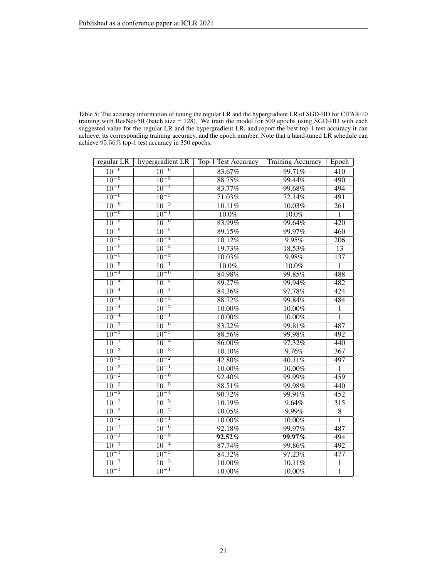<span id="page-20-0"></span>

| Table 5: The accuracy information of tuning the regular LR and the hypergradient LR of SGD-HD for CIFAR-10  |
|-------------------------------------------------------------------------------------------------------------|
| training with ResNet-50 (batch size $= 128$ ). We train the model for 500 epochs using SGD-HD with each     |
| suggested value for the regular LR and the hypergradient LR, and report the best top-1 test accuracy it can |
| achieve, its corresponding training accuracy, and the epoch number. Note that a hand-tuned LR schedule can  |
| achieve $95.56\%$ top-1 test accuracy in 350 epochs.                                                        |

| regular LR           | hypergradient LR     | Top-1 Test Accuracy | Training Accuracy | Epoch            |
|----------------------|----------------------|---------------------|-------------------|------------------|
| $10^{-6}$            | $10^{-6}$            | 83.67%              | 99.71%            | 410              |
| $10^{-6}$            | $10^{-5}$            | 88.75%              | 99.44%            | 490              |
| $10^{-6}$            | $\overline{10^{-4}}$ | 83.77%              | 99.68%            | 494              |
| $10^{-6}$            | $10^{-3}$            | 71.03%              | 72.14%            | 491              |
| $10^{-6}$            | $10^{-2}$            | 10.11%              | 10.03%            | $\overline{261}$ |
| $10^{-6}$            | $10^{-1}$            | $10.0\%$            | $10.0\%$          | $\overline{1}$   |
| $10^{-5}$            | $10^{-6}$            | 83.99%              | 99.64%            | 420              |
| $10^{-5}$            | $10^{-5}$            | 89.15%              | 99.97%            | 460              |
| $\overline{10^{-5}}$ | $\overline{10^{-4}}$ | 10.12%              | 9.95%             | 206              |
| $10^{-5}$            | $\overline{10^{-3}}$ | 19.73%              | 18.53%            | $\overline{13}$  |
| $\overline{10^{-5}}$ | $\overline{10^{-2}}$ | 10.03%              | 9.98%             | 137              |
| $10^{-5}$            | $1\overline{0^{-1}}$ | 10.0%               | 10.0%             | 1                |
| $10^{-4}$            | $\overline{10^{-6}}$ | 84.98%              | 99.85%            | 488              |
| $10^{-4}$            | $10^{-5}$            | 89.27%              | 99.94%            | 482              |
| $10^{-4}$            | $10^{-4}$            | 84.36%              | 97.78%            | 424              |
| $\overline{10^{-4}}$ | $\overline{10^{-3}}$ | 88.72%              | 99.84%            | 484              |
| $10^{-4}$            | $10^{-2}$            | 10.00%              | 10.00%            | $\overline{1}$   |
| $10^{-4}$            | $10^{-1}$            | 10.00%              | 10.00%            | $\overline{1}$   |
| $\overline{10^{-3}}$ | $10^{-6}$            | 83.22%              | 99.81%            | 487              |
| $10^{-3}$            | $10^{-5}$            | 88.56%              | 99.98%            | $\overline{492}$ |
| $10^{-3}$            | $10^{-4}$            | 86.00%              | 97.32%            | 440              |
| $\overline{10^{-3}}$ | $10^{-3}$            | 10.10%              | 9.76%             | $\overline{367}$ |
| $10^{-3}$            | $10^{-2}$            | 42.80%              | 40.11%            | 497              |
| $10^{-3}$            | $10^{-1}$            | 10.00%              | 10.00%            | $\overline{1}$   |
| $10^{-2}$            | $\overline{10^{-6}}$ | 92.40%              | 99.99%            | 459              |
| $10^{-2}$            | $10^{-5}$            | 88.51%              | 99.98%            | 440              |
| $10^{-2}$            | $10^{-4}$            | 90.72%              | 99.91%            | 452              |
| $10^{-2}$            | $10^{-3}$            | 10.19%              | 9.64%             | $\overline{315}$ |
| $10^{-2}$            | $10^{-2}$            | 10.05%              | 9.99%             | $\overline{8}$   |
| $10^{-2}$            | $\overline{10^{-1}}$ | $10.00\%$           | $10.00\%$         | $\overline{1}$   |
| $10^{-1}$            | $10^{-6}$            | 92.18%              | 99.97%            | 487              |
| $10^{-1}$            | $10^{-5}$            | $92.52\%$           | $99.97\%$         | 494              |
| $10^{-1}$            | $10^{-4}$            | 87.74%              | 99.86%            | 492              |
| $10^{-1}$            | $10^{-3}$            | 84.32%              | 97.23%            | 477              |
| $10^{-1}$            | $10^{-2}$            | $10.00\%$           | 10.11%            | $\overline{1}$   |
| $\overline{10^{-1}}$ | $10^{-1}$            | $10.00\%$           | $10.00\%$         | $\overline{1}$   |